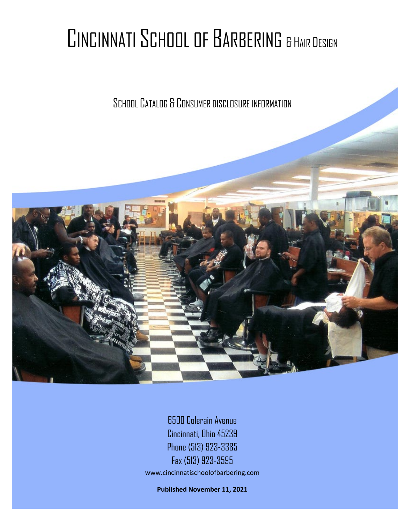# CINCINNATI SCHOOL OF BARBERING & HAIR DESIGN

SCHOOL CATALOG & CONSUMER DISCLOSURE INFORMATION



6500 Colerain Avenue Cincinnati, Ohio 45239 Phone (513) 923-3385 Fax (513) 923-3595 [www.cincinnatischoolofbarbering.com](http://www.cincinnatischoolofbarbering.com/)

**Published November 11, 2021**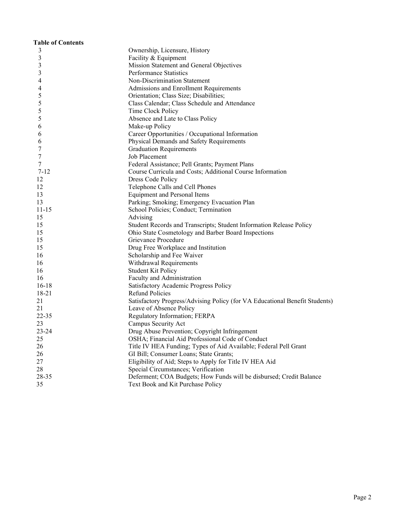## **Table of Contents**

| 3         | Ownership, Licensure, History                                               |
|-----------|-----------------------------------------------------------------------------|
| 3         | Facility & Equipment                                                        |
| 3         | Mission Statement and General Objectives                                    |
| 3         | Performance Statistics                                                      |
| 4         | Non-Discrimination Statement                                                |
| 4         | Admissions and Enrollment Requirements                                      |
| 5         | Orientation; Class Size; Disabilities;                                      |
| 5         | Class Calendar; Class Schedule and Attendance                               |
| 5         | Time Clock Policy                                                           |
| 5         | Absence and Late to Class Policy                                            |
| 6         | Make-up Policy                                                              |
| 6         | Career Opportunities / Occupational Information                             |
| 6         | Physical Demands and Safety Requirements                                    |
| 7         | <b>Graduation Requirements</b>                                              |
| 7         | Job Placement                                                               |
| 7         | Federal Assistance; Pell Grants; Payment Plans                              |
| $7 - 12$  | Course Curricula and Costs; Additional Course Information                   |
| 12        | Dress Code Policy                                                           |
| 12        | Telephone Calls and Cell Phones                                             |
| 13        | <b>Equipment and Personal Items</b>                                         |
| 13        | Parking; Smoking; Emergency Evacuation Plan                                 |
| $11 - 15$ | School Policies; Conduct; Termination                                       |
| 15        | Advising                                                                    |
| 15        | Student Records and Transcripts; Student Information Release Policy         |
| 15        | Ohio State Cosmetology and Barber Board Inspections                         |
| 15        | Grievance Procedure                                                         |
| 15        | Drug Free Workplace and Institution                                         |
| 16        | Scholarship and Fee Waiver                                                  |
| 16        | Withdrawal Requirements                                                     |
| 16        | <b>Student Kit Policy</b>                                                   |
| 16        | Faculty and Administration                                                  |
| $16-18$   | Satisfactory Academic Progress Policy                                       |
| 18-21     | Refund Policies                                                             |
| 21        | Satisfactory Progress/Advising Policy (for VA Educational Benefit Students) |
| 21        | Leave of Absence Policy                                                     |
| 22-35     | Regulatory Information; FERPA                                               |
| 23        | Campus Security Act                                                         |
| $23 - 24$ | Drug Abuse Prevention; Copyright Infringement                               |
| 25        | OSHA; Financial Aid Professional Code of Conduct                            |
| 26        | Title IV HEA Funding; Types of Aid Available; Federal Pell Grant            |
| 26        | GI Bill; Consumer Loans; State Grants;                                      |
| 27        | Eligibility of Aid; Steps to Apply for Title IV HEA Aid                     |
| 28        | Special Circumstances; Verification                                         |
| 28-35     | Deferment; COA Budgets; How Funds will be disbursed; Credit Balance         |
| 35        | Text Book and Kit Purchase Policy                                           |
|           |                                                                             |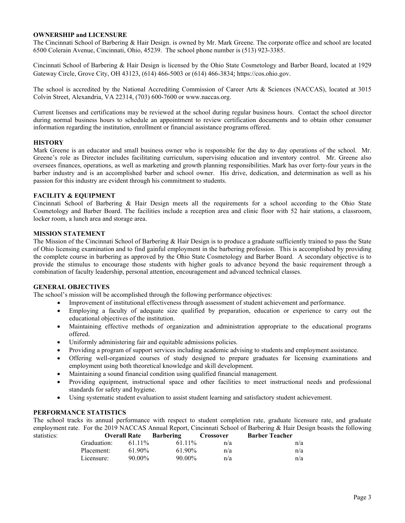## **OWNERSHIP and LICENSURE**

The Cincinnati School of Barbering & Hair Design. is owned by Mr. Mark Greene. The corporate office and school are located 6500 Colerain Avenue, Cincinnati, Ohio, 45239. The school phone number is (513) 923-3385.

Cincinnati School of Barbering & Hair Design is licensed by the Ohio State Cosmetology and Barber Board, located at 1929 Gateway Circle, Grove City, OH 43123, (614) 466-5003 or (614) 466-3834; https://cos.ohio.gov.

The school is accredited by the National Accrediting Commission of Career Arts & Sciences (NACCAS), located at 3015 Colvin Street, Alexandria, VA 22314, (703) 600-7600 or www.naccas.org.

Current licenses and certifications may be reviewed at the school during regular business hours. Contact the school director during normal business hours to schedule an appointment to review certification documents and to obtain other consumer information regarding the institution, enrollment or financial assistance programs offered.

## **HISTORY**

Mark Greene is an educator and small business owner who is responsible for the day to day operations of the school. Mr. Greene's role as Director includes facilitating curriculum, supervising education and inventory control. Mr. Greene also oversees finances, operations, as well as marketing and growth planning responsibilities. Mark has over forty-four years in the barber industry and is an accomplished barber and school owner. His drive, dedication, and determination as well as his passion for this industry are evident through his commitment to students.

## **FACILITY & EQUIPMENT**

Cincinnati School of Barbering & Hair Design meets all the requirements for a school according to the Ohio State Cosmetology and Barber Board. The facilities include a reception area and clinic floor with 52 hair stations, a classroom, locker room, a lunch area and storage area.

## **MISSION STATEMENT**

The Mission of the Cincinnati School of Barbering & Hair Design is to produce a graduate sufficiently trained to pass the State of Ohio licensing examination and to find gainful employment in the barbering profession. This is accomplished by providing the complete course in barbering as approved by the Ohio State Cosmetology and Barber Board. A secondary objective is to provide the stimulus to encourage those students with higher goals to advance beyond the basic requirement through a combination of faculty leadership, personal attention, encouragement and advanced technical classes.

## **GENERAL OBJECTIVES**

The school's mission will be accomplished through the following performance objectives:

- Improvement of institutional effectiveness through assessment of student achievement and performance.
- Employing a faculty of adequate size qualified by preparation, education or experience to carry out the educational objectives of the institution.
- Maintaining effective methods of organization and administration appropriate to the educational programs offered.
- Uniformly administering fair and equitable admissions policies.
- Providing a program of support services including academic advising to students and employment assistance.
- Offering well-organized courses of study designed to prepare graduates for licensing examinations and employment using both theoretical knowledge and skill development.
- Maintaining a sound financial condition using qualified financial management.
- Providing equipment, instructional space and other facilities to meet instructional needs and professional standards for safety and hygiene.
- Using systematic student evaluation to assist student learning and satisfactory student achievement.

## **PERFORMANCE STATISTICS**

The school tracks its annual performance with respect to student completion rate, graduate licensure rate, and graduate employment rate. For the 2019 NACCAS Annual Report, Cincinnati School of Barbering & Hair Design boasts the following

| statistics: |             | <b>Overall Rate</b> | <b>Barbering</b> | Crossover | <b>Barber Teacher</b> |
|-------------|-------------|---------------------|------------------|-----------|-----------------------|
|             | Graduation: | 61 11%              | 61.11%           | n/a       | n/a                   |
|             | Placement:  | 61.90%              | $61.90\%$        | n/a       | n/a                   |
|             | Licensure:  | 90.00%              | 90.00%           | n/a       | n/a                   |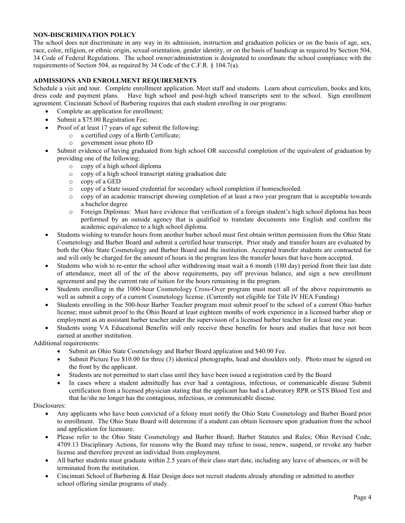## **NON-DISCRIMINATION POLICY**

The school does not discriminate in any way in its admission, instruction and graduation policies or on the basis of age, sex, race, color, religion, or ethnic origin, sexual orientation, gender identity, or on the basis of handicap as required by Section 504, 34 Code of Federal Regulations. The school owner/administration is designated to coordinate the school compliance with the requirements of Section 504, as required by 34 Code of the C.F.R. § 104.7(a).

## **ADMISSIONS AND ENROLLMENT REQUIREMENTS**

Schedule a visit and tour. Complete enrollment application. Meet staff and students. Learn about curriculum, books and kits, dress code and payment plans. Have high school and post-high school transcripts sent to the school. Sign enrollment agreement. Cincinnati School of Barbering requires that each student enrolling in our programs:

- Complete an application for enrollment;
- Submit a \$75.00 Registration Fee;
	- Proof of at least 17 years of age submit the following:
		- o a certified copy of a Birth Certificate;
		- o government issue photo ID
- Submit evidence of having graduated from high school OR successful completion of the equivalent of graduation by providing one of the following:
	- $\circ$  copy of a high school diploma
	- $\circ$  copy of a high school transcript stating graduation date  $\circ$  copy of a GED
	- copy of a GED
	- o copy of a State issued credential for secondary school completion if homeschooled.
	- o copy of an academic transcript showing completion of at least a two year program that is acceptable towards a bachelor degree
	- o Foreign Diplomas: Must have evidence that verification of a foreign student's high school diploma has been performed by an outside agency that is qualified to translate documents into English and confirm the academic equivalence to a high school diploma.
- Students wishing to transfer hours from another barber school must first obtain written permission from the Ohio State Cosmetology and Barber Board and submit a certified hour transcript. Prior study and transfer hours are evaluated by both the Ohio State Cosmetology and Barber Board and the institution. Accepted transfer students are contracted for and will only be charged for the amount of hours in the program less the transfer hours that have been accepted.
- Students who wish to re-enter the school after withdrawing must wait a 6 month (180 day) period from their last date of attendance, meet all of the of the above requirements, pay off previous balance, and sign a new enrollment agreement and pay the current rate of tuition for the hours remaining in the program.
- Students enrolling in the 1000-hour Cosmetology Cross-Over program must meet all of the above requirements as well as submit a copy of a current Cosmetology license. (Currently not eligible for Title IV HEA Funding)
- Students enrolling in the 500-hour Barber Teacher program must submit proof to the school of a current Ohio barber license; must submit proof to the Ohio Board at least eighteen months of work experience in a licensed barber shop or employment as an assistant barber teacher under the supervision of a licensed barber teacher for at least one year.
- Students using VA Educational Benefits will only receive these benefits for hours and studies that have not been earned at another institution.

Additional requirements:

- Submit an Ohio State Cosmetology and Barber Board application and \$40.00 Fee.
- Submit Picture Fee \$10.00 for three (3) identical photographs, head and shoulders only. Photo must be signed on the front by the applicant.
- Students are not permitted to start class until they have been issued a registration card by the Board
- In cases where a student admittedly has ever had a contagious, infectious, or communicable disease Submit certification from a licensed physician stating that the applicant has had a Laboratory RPR or STS Blood Test and that he/she no longer has the contagious, infectious, or communicable disease.

## Disclosures:

- Any applicants who have been convicted of a felony must notify the Ohio State Cosmetology and Barber Board prior to enrollment. The Ohio State Board will determine if a student can obtain licensure upon graduation from the school and application for licensure.
- Please refer to the Ohio State Cosmetology and Barber Board; Barber Statutes and Rules; Ohio Revised Code, 4709.13 Disciplinary Actions, for reasons why the Board may refuse to issue, renew, suspend, or revoke any barber license and therefore prevent an individual from employment.
- All barber students must graduate within 2.5 years of their class start date, including any leave of absences, or will be terminated from the institution.
- Cincinnati School of Barbering & Hair Design does not recruit students already attending or admitted to another school offering similar programs of study.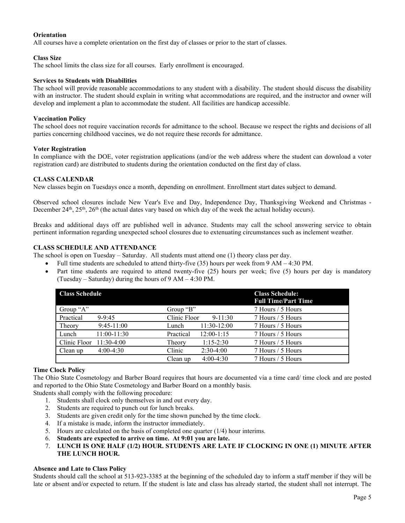## **Orientation**

All courses have a complete orientation on the first day of classes or prior to the start of classes.

#### **Class Size**

The school limits the class size for all courses. Early enrollment is encouraged.

#### **Services to Students with Disabilities**

The school will provide reasonable accommodations to any student with a disability. The student should discuss the disability with an instructor. The student should explain in writing what accommodations are required, and the instructor and owner will develop and implement a plan to accommodate the student. All facilities are handicap accessible.

#### **Vaccination Policy**

The school does not require vaccination records for admittance to the school. Because we respect the rights and decisions of all parties concerning childhood vaccines, we do not require these records for admittance.

#### **Voter Registration**

In compliance with the DOE, voter registration applications (and/or the web address where the student can download a voter registration card) are distributed to students during the orientation conducted on the first day of class.

#### **CLASS CALENDAR**

New classes begin on Tuesdays once a month, depending on enrollment. Enrollment start dates subject to demand.

Observed school closures include New Year's Eve and Day, Independence Day, Thanksgiving Weekend and Christmas - December  $24^{\text{th}}$ ,  $25^{\text{th}}$ ,  $26^{\text{th}}$  (the actual dates vary based on which day of the week the actual holiday occurs).

Breaks and additional days off are published well in advance. Students may call the school answering service to obtain pertinent information regarding unexpected school closures due to extenuating circumstances such as inclement weather.

#### **CLASS SCHEDULE AND ATTENDANCE**

The school is open on Tuesday – Saturday. All students must attend one (1) theory class per day.

- Full time students are scheduled to attend thirty-five (35) hours per week from 9 AM 4:30 PM.
- Part time students are required to attend twenty-five (25) hours per week; five (5) hours per day is mandatory (Tuesday – Saturday) during the hours of 9 AM – 4:30 PM.

| <b>Class Schedule</b> |              |              |               | <b>Class Schedule:</b>     |
|-----------------------|--------------|--------------|---------------|----------------------------|
|                       |              |              |               | <b>Full Time/Part Time</b> |
| Group "A"             |              | Group "B"    |               | 7 Hours / 5 Hours          |
| Practical             | $9-9:45$     | Clinic Floor | $9 - 11:30$   | 7 Hours / 5 Hours          |
| Theory                | $9:45-11:00$ | Lunch        | $11:30-12:00$ | 7 Hours / 5 Hours          |
| Lunch                 | 11:00-11:30  | Practical    | $12:00-1:15$  | 7 Hours / 5 Hours          |
| Clinic Floor          | $11:30-4:00$ | Theory       | $1:15-2:30$   | 7 Hours / 5 Hours          |
| Clean up              | $4:00-4:30$  | Clinic       | $2:30-4:00$   | 7 Hours / 5 Hours          |
|                       |              | Clean up     | $4:00-4:30$   | 7 Hours / 5 Hours          |

## **Time Clock Policy**

The Ohio State Cosmetology and Barber Board requires that hours are documented via a time card/ time clock and are posted and reported to the Ohio State Cosmetology and Barber Board on a monthly basis.

Students shall comply with the following procedure:

- 1. Students shall clock only themselves in and out every day.
- 2. Students are required to punch out for lunch breaks.
- 3. Students are given credit only for the time shown punched by the time clock.
- 4. If a mistake is made, inform the instructor immediately.
- 5. Hours are calculated on the basis of completed one quarter (1/4) hour interims.
- 6. **Students are expected to arrive on time. At 9:01 you are late.**
- 7. **LUNCH IS ONE HALF (1/2) HOUR. STUDENTS ARE LATE IF CLOCKING IN ONE (1) MINUTE AFTER THE LUNCH HOUR.**

## **Absence and Late to Class Policy**

Students should call the school at 513-923-3385 at the beginning of the scheduled day to inform a staff member if they will be late or absent and/or expected to return. If the student is late and class has already started, the student shall not interrupt. The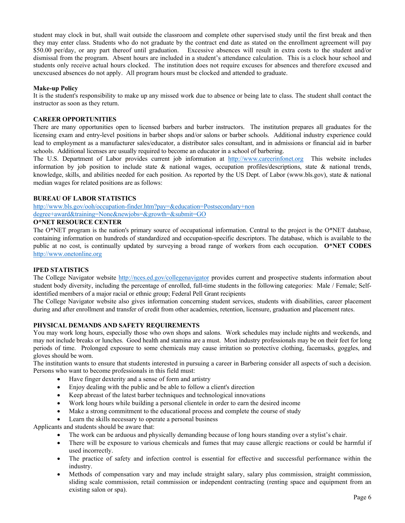student may clock in but, shall wait outside the classroom and complete other supervised study until the first break and then they may enter class. Students who do not graduate by the contract end date as stated on the enrollment agreement will pay \$50.00 per/day, or any part thereof until graduation. Excessive absences will result in extra costs to the student and/or dismissal from the program. Absent hours are included in a student's attendance calculation. This is a clock hour school and students only receive actual hours clocked. The institution does not require excuses for absences and therefore excused and unexcused absences do not apply. All program hours must be clocked and attended to graduate.

#### **Make-up Policy**

It is the student's responsibility to make up any missed work due to absence or being late to class. The student shall contact the instructor as soon as they return.

#### **CAREER OPPORTUNITIES**

There are many opportunities open to licensed barbers and barber instructors. The institution prepares all graduates for the licensing exam and entry-level positions in barber shops and/or salons or barber schools. Additional industry experience could lead to employment as a manufacturer sales/educator, a distributor sales consultant, and in admissions or financial aid in barber schools. Additional licenses are usually required to become an educator in a school of barbering.

The U.S. Department of Labor provides current job information at [http://www.careerinfonet.org](http://www.careerinfonet.org/) This website includes information by job position to include state & national wages, occupation profiles/descriptions, state & national trends, knowledge, skills, and abilities needed for each position. As reported by the US Dept. of Labor (www.bls.gov), state & national median wages for related positions are as follows:

#### **BUREAU OF LABOR STATISTICS**

[http://www.bls.gov/ooh/occupation-finder.htm?pay=&education=Postsecondary+non](http://www.bls.gov/ooh/occupation-finder.htm?pay=&education=Postsecondary+non%20degree+award&training=None&newjobs=&growth=&submit=GO)  [degree+award&training=None&newjobs=&growth=&submit=GO](http://www.bls.gov/ooh/occupation-finder.htm?pay=&education=Postsecondary+non%20degree+award&training=None&newjobs=&growth=&submit=GO)

#### **O\*NET RESOURCE CENTER**

The O\*NET program is the nation's primary source of occupational information. Central to the project is the O\*NET database, containing information on hundreds of standardized and occupation-specific descriptors. The database, which is available to the public at no cost, is continually updated by surveying a broad range of workers from each occupation. **O\*NET CODES**  [http://www.onetonline.org](http://www.onetonline.org/link/summary/39-5012.00)

#### **IPED STATISTICS**

The College Navigator website<http://nces.ed.gov/collegenavigator> provides current and prospective students information about student body diversity, including the percentage of enrolled, full-time students in the following categories: Male / Female; Selfidentified members of a major racial or ethnic group; Federal Pell Grant recipients

The College Navigator website also gives information concerning student services, students with disabilities, career placement during and after enrollment and transfer of credit from other academies, retention, licensure, graduation and placement rates.

## **PHYSICAL DEMANDS AND SAFETY REQUIREMENTS**

You may work long hours, especially those who own shops and salons. Work schedules may include nights and weekends, and may not include breaks or lunches. Good health and stamina are a must. Most industry professionals may be on their feet for long periods of time. Prolonged exposure to some chemicals may cause irritation so protective clothing, facemasks, goggles, and gloves should be worn.

The institution wants to ensure that students interested in pursuing a career in Barbering consider all aspects of such a decision. Persons who want to become professionals in this field must:

- Have finger dexterity and a sense of form and artistry
- Enjoy dealing with the public and be able to follow a client's direction
- Keep abreast of the latest barber techniques and technological innovations
- Work long hours while building a personal clientele in order to earn the desired income
- Make a strong commitment to the educational process and complete the course of study
- Learn the skills necessary to operate a personal business

Applicants and students should be aware that:

- The work can be arduous and physically demanding because of long hours standing over a stylist's chair.
- There will be exposure to various chemicals and fumes that may cause allergic reactions or could be harmful if used incorrectly.
- The practice of safety and infection control is essential for effective and successful performance within the industry.
- Methods of compensation vary and may include straight salary, salary plus commission, straight commission, sliding scale commission, retail commission or independent contracting (renting space and equipment from an existing salon or spa).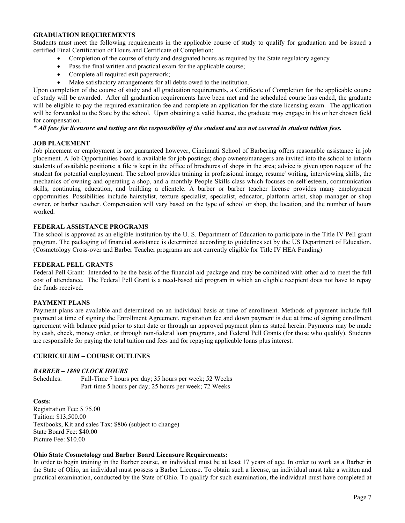#### **GRADUATION REQUIREMENTS**

Students must meet the following requirements in the applicable course of study to qualify for graduation and be issued a certified Final Certification of Hours and Certificate of Completion:

- Completion of the course of study and designated hours as required by the State regulatory agency
- Pass the final written and practical exam for the applicable course:
- Complete all required exit paperwork;
- Make satisfactory arrangements for all debts owed to the institution.

Upon completion of the course of study and all graduation requirements, a Certificate of Completion for the applicable course of study will be awarded. After all graduation requirements have been met and the scheduled course has ended, the graduate will be eligible to pay the required examination fee and complete an application for the state licensing exam. The application will be forwarded to the State by the school. Upon obtaining a valid license, the graduate may engage in his or her chosen field for compensation.

#### *\* All fees for licensure and testing are the responsibility of the student and are not covered in student tuition fees.*

## **JOB PLACEMENT**

Job placement or employment is not guaranteed however, Cincinnati School of Barbering offers reasonable assistance in job placement. A Job Opportunities board is available for job postings; shop owners/managers are invited into the school to inform students of available positions; a file is kept in the office of brochures of shops in the area; advice is given upon request of the student for potential employment. The school provides training in professional image, resume' writing, interviewing skills, the mechanics of owning and operating a shop, and a monthly People Skills class which focuses on self-esteem, communication skills, continuing education, and building a clientele. A barber or barber teacher license provides many employment opportunities. Possibilities include hairstylist, texture specialist, specialist, educator, platform artist, shop manager or shop owner, or barber teacher. Compensation will vary based on the type of school or shop, the location, and the number of hours worked.

## **FEDERAL ASSISTANCE PROGRAMS**

The school is approved as an eligible institution by the U. S. Department of Education to participate in the Title IV Pell grant program. The packaging of financial assistance is determined according to guidelines set by the US Department of Education. (Cosmetology Cross-over and Barber Teacher programs are not currently eligible for Title IV HEA Funding)

#### **FEDERAL PELL GRANTS**

Federal Pell Grant: Intended to be the basis of the financial aid package and may be combined with other aid to meet the full cost of attendance. The Federal Pell Grant is a need-based aid program in which an eligible recipient does not have to repay the funds received.

## **PAYMENT PLANS**

Payment plans are available and determined on an individual basis at time of enrollment. Methods of payment include full payment at time of signing the Enrollment Agreement, registration fee and down payment is due at time of signing enrollment agreement with balance paid prior to start date or through an approved payment plan as stated herein. Payments may be made by cash, check, money order, or through non-federal loan programs, and Federal Pell Grants (for those who qualify). Students are responsible for paying the total tuition and fees and for repaying applicable loans plus interest.

## **CURRICULUM – COURSE OUTLINES**

## *BARBER – 1800 CLOCK HOURS*

Schedules: Full-Time 7 hours per day; 35 hours per week; 52 Weeks Part-time 5 hours per day; 25 hours per week; 72 Weeks

**Costs:**  Registration Fee: \$ 75.00 Tuition: \$13,500.00 Textbooks, Kit and sales Tax: \$806 (subject to change) State Board Fee: \$40.00 Picture Fee: \$10.00

## **Ohio State Cosmetology and Barber Board Licensure Requirements:**

In order to begin training in the Barber course, an individual must be at least 17 years of age. In order to work as a Barber in the State of Ohio, an individual must possess a Barber License. To obtain such a license, an individual must take a written and practical examination, conducted by the State of Ohio. To qualify for such examination, the individual must have completed at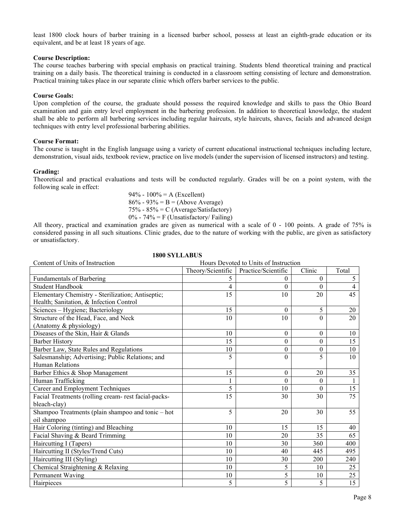least 1800 clock hours of barber training in a licensed barber school, possess at least an eighth-grade education or its equivalent, and be at least 18 years of age.

#### **Course Description:**

The course teaches barbering with special emphasis on practical training. Students blend theoretical training and practical training on a daily basis. The theoretical training is conducted in a classroom setting consisting of lecture and demonstration. Practical training takes place in our separate clinic which offers barber services to the public.

#### **Course Goals:**

Upon completion of the course, the graduate should possess the required knowledge and skills to pass the Ohio Board examination and gain entry level employment in the barbering profession. In addition to theoretical knowledge, the student shall be able to perform all barbering services including regular haircuts, style haircuts, shaves, facials and advanced design techniques with entry level professional barbering abilities.

#### **Course Format:**

The course is taught in the English language using a variety of current educational instructional techniques including lecture, demonstration, visual aids, textbook review, practice on live models (under the supervision of licensed instructors) and testing.

#### **Grading:**

Theoretical and practical evaluations and tests will be conducted regularly. Grades will be on a point system, with the following scale in effect:

> 94% - 100% = A (Excellent)  $86\% - 93\% = B = (Above Average)$ 75% - 85% = C (Average/Satisfactory)  $0\%$  - 74% = F (Unsatisfactory/ Failing)

All theory, practical and examination grades are given as numerical with a scale of 0 - 100 points. A grade of 75% is considered passing in all such situations. Clinic grades, due to the nature of working with the public, are given as satisfactory or unsatisfactory.

| Content of Units of Instruction                      |                   | Hours Devoted to Units of Instruction |                  |                |
|------------------------------------------------------|-------------------|---------------------------------------|------------------|----------------|
|                                                      | Theory/Scientific | Practice/Scientific                   | Clinic           | Total          |
| Fundamentals of Barbering                            |                   | 0                                     | 0                | 5              |
| <b>Student Handbook</b>                              | 4                 | 0                                     | $\Omega$         | $\overline{4}$ |
| Elementary Chemistry - Sterilization; Antiseptic;    | 15                | 10                                    | 20               | 45             |
| Health; Sanitation, & Infection Control              |                   |                                       |                  |                |
| Sciences - Hygiene; Bacteriology                     | 15                | $\theta$                              | 5                | 20             |
| Structure of the Head, Face, and Neck                | 10                | 10                                    | $\Omega$         | 20             |
| (Anatomy & physiology)                               |                   |                                       |                  |                |
| Diseases of the Skin, Hair & Glands                  | 10                | $\theta$                              | $\theta$         | 10             |
| <b>Barber History</b>                                | 15                | $\boldsymbol{0}$                      | $\Omega$         | 15             |
| Barber Law, State Rules and Regulations              | 10                | $\overline{0}$                        | $\boldsymbol{0}$ | 10             |
| Salesmanship; Advertising; Public Relations; and     | 5                 | $\theta$                              | 5                | 10             |
| <b>Human Relations</b>                               |                   |                                       |                  |                |
| Barber Ethics & Shop Management                      | 15                | 0                                     | 20               | 35             |
| Human Trafficking                                    |                   | $\boldsymbol{0}$                      | $\boldsymbol{0}$ | 1              |
| Career and Employment Techniques                     | 5                 | 10                                    | $\Omega$         | 15             |
| Facial Treatments (rolling cream- rest facial-packs- | 15                | 30                                    | 30               | 75             |
| bleach-clay)                                         |                   |                                       |                  |                |
| Shampoo Treatments (plain shampoo and tonic - hot    | 5                 | 20                                    | 30               | 55             |
| oil shampoo                                          |                   |                                       |                  |                |
| Hair Coloring (tinting) and Bleaching                | 10                | 15                                    | 15               | 40             |
| Facial Shaving & Beard Trimming                      | 10                | 20                                    | 35               | 65             |
| Haircutting I (Tapers)                               | 10                | 30                                    | 360              | 400            |
| Haircutting II (Styles/Trend Cuts)                   | 10                | 40                                    | 445              | 495            |
| Haircutting III (Styling)                            | 10                | 30                                    | 200              | 240            |
| Chemical Straightening & Relaxing                    | 10                | 5                                     | 10               | 25             |
| Permanent Waving                                     | 10                | 5                                     | 10               | 25             |
| Hairpieces                                           | 5                 | 5                                     | 5                | 15             |

#### **1800 SYLLABUS**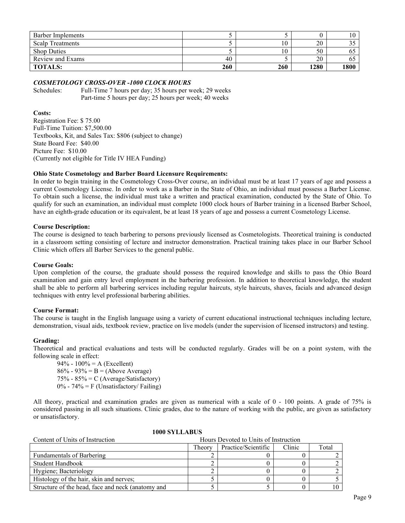| Barber Implements       |     |     |      | 1 V  |
|-------------------------|-----|-----|------|------|
| <b>Scalp Treatments</b> |     | 10  | 20   | ີ~   |
| <b>Shop Duties</b>      |     | 10  | 50   |      |
| Review and Exams        | 40  |     | 20   |      |
| <b>TOTALS:</b>          | 260 | 260 | 1280 | 1800 |

## *COSMETOLOGY CROSS-OVER -1000 CLOCK HOURS*

Schedules: Full-Time 7 hours per day; 35 hours per week; 29 weeks Part-time 5 hours per day; 25 hours per week; 40 weeks

#### **Costs:**

Registration Fee: \$ 75.00 Full-Time Tuition: \$7,500.00 Textbooks, Kit, and Sales Tax: \$806 (subject to change) State Board Fee: \$40.00 Picture Fee: \$10.00 (Currently not eligible for Title IV HEA Funding)

#### **Ohio State Cosmetology and Barber Board Licensure Requirements:**

In order to begin training in the Cosmetology Cross-Over course, an individual must be at least 17 years of age and possess a current Cosmetology License. In order to work as a Barber in the State of Ohio, an individual must possess a Barber License. To obtain such a license, the individual must take a written and practical examination, conducted by the State of Ohio. To qualify for such an examination, an individual must complete 1000 clock hours of Barber training in a licensed Barber School, have an eighth-grade education or its equivalent, be at least 18 years of age and possess a current Cosmetology License.

#### **Course Description:**

The course is designed to teach barbering to persons previously licensed as Cosmetologists. Theoretical training is conducted in a classroom setting consisting of lecture and instructor demonstration. Practical training takes place in our Barber School Clinic which offers all Barber Services to the general public.

#### **Course Goals:**

Upon completion of the course, the graduate should possess the required knowledge and skills to pass the Ohio Board examination and gain entry level employment in the barbering profession. In addition to theoretical knowledge, the student shall be able to perform all barbering services including regular haircuts, style haircuts, shaves, facials and advanced design techniques with entry level professional barbering abilities.

## **Course Format:**

The course is taught in the English language using a variety of current educational instructional techniques including lecture, demonstration, visual aids, textbook review, practice on live models (under the supervision of licensed instructors) and testing.

## **Grading:**

Theoretical and practical evaluations and tests will be conducted regularly. Grades will be on a point system, with the following scale in effect:

94% - 100% = A (Excellent)  $86\% - 93\% = B = (Above Average)$ 75% - 85% = C (Average/Satisfactory)  $0\%$  - 74% = F (Unsatisfactory/ Failing)

All theory, practical and examination grades are given as numerical with a scale of 0 - 100 points. A grade of 75% is considered passing in all such situations. Clinic grades, due to the nature of working with the public, are given as satisfactory or unsatisfactory.

| Content of Units of Instruction                   |        | Hours Devoted to Units of Instruction |        |       |
|---------------------------------------------------|--------|---------------------------------------|--------|-------|
|                                                   | Theory | Practice/Scientific                   | Clinic | Total |
| Fundamentals of Barbering                         |        |                                       |        |       |
| Student Handbook                                  |        |                                       |        |       |
| Hygiene; Bacteriology                             |        |                                       |        |       |
| Histology of the hair, skin and nerves;           |        |                                       |        |       |
| Structure of the head, face and neck (anatomy and |        |                                       |        |       |

#### **1000 SYLLABUS**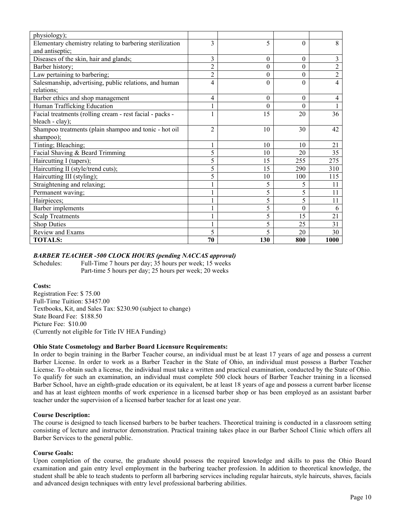| physiology);                                             |                |          |          |                |
|----------------------------------------------------------|----------------|----------|----------|----------------|
| Elementary chemistry relating to barbering sterilization | 3              | 5        | 0        | 8              |
| and antiseptic;                                          |                |          |          |                |
| Diseases of the skin, hair and glands;                   | 3              | $\Omega$ | $\theta$ | 3              |
| Barber history;                                          | $\overline{2}$ | $\theta$ | $\theta$ | $\overline{c}$ |
| Law pertaining to barbering;                             | 2              | 0        | $\theta$ | $\overline{c}$ |
| Salesmanship, advertising, public relations, and human   | 4              | 0        | $\theta$ | 4              |
| relations;                                               |                |          |          |                |
| Barber ethics and shop management                        | 4              | 0        | $\theta$ | 4              |
| Human Trafficking Education                              |                | 0        | $\theta$ |                |
| Facial treatments (rolling cream - rest facial - packs - | 1              | 15       | 20       | 36             |
| bleach - clay);                                          |                |          |          |                |
| Shampoo treatments (plain shampoo and tonic - hot oil    | $\mathfrak{D}$ | 10       | 30       | 42             |
| shampoo);                                                |                |          |          |                |
| Tinting; Bleaching;                                      |                | 10       | 10       | 21             |
| Facial Shaving & Beard Trimming                          | 5              | 10       | 20       | 35             |
| Haircutting I (tapers);                                  | 5              | 15       | 255      | 275            |
| Haircutting II (style/trend cuts);                       | 5              | 15       | 290      | 310            |
| Haircutting III (styling);                               | 5              | 10       | 100      | 115            |
| Straightening and relaxing;                              |                | 5        | 5        | 11             |
| Permanent waving;                                        |                | 5        | 5        | 11             |
| Hairpieces;                                              |                | 5        | 5        | 11             |
| Barber implements                                        |                | 5        | $\theta$ | 6              |
| <b>Scalp Treatments</b>                                  |                | 5        | 15       | 21             |
| <b>Shop Duties</b>                                       |                | 5        | 25       | 31             |
| Review and Exams                                         | 5              | 5        | 20       | 30             |
| <b>TOTALS:</b>                                           | 70             | 130      | 800      | 1000           |

## *BARBER TEACHER -500 CLOCK HOURS (pending NACCAS approval)*

Schedules: Full-Time 7 hours per day; 35 hours per week; 15 weeks Part-time 5 hours per day; 25 hours per week; 20 weeks

#### **Costs:**

Registration Fee: \$ 75.00 Full-Time Tuition: \$3457.00 Textbooks, Kit, and Sales Tax: \$230.90 (subject to change) State Board Fee: \$188.50 Picture Fee: \$10.00 (Currently not eligible for Title IV HEA Funding)

## **Ohio State Cosmetology and Barber Board Licensure Requirements:**

In order to begin training in the Barber Teacher course, an individual must be at least 17 years of age and possess a current Barber License. In order to work as a Barber Teacher in the State of Ohio, an individual must possess a Barber Teacher License. To obtain such a license, the individual must take a written and practical examination, conducted by the State of Ohio. To qualify for such an examination, an individual must complete 500 clock hours of Barber Teacher training in a licensed Barber School, have an eighth-grade education or its equivalent, be at least 18 years of age and possess a current barber license and has at least eighteen months of work experience in a licensed barber shop or has been employed as an assistant barber teacher under the supervision of a licensed barber teacher for at least one year.

## **Course Description:**

The course is designed to teach licensed barbers to be barber teachers. Theoretical training is conducted in a classroom setting consisting of lecture and instructor demonstration. Practical training takes place in our Barber School Clinic which offers all Barber Services to the general public.

## **Course Goals:**

Upon completion of the course, the graduate should possess the required knowledge and skills to pass the Ohio Board examination and gain entry level employment in the barbering teacher profession. In addition to theoretical knowledge, the student shall be able to teach students to perform all barbering services including regular haircuts, style haircuts, shaves, facials and advanced design techniques with entry level professional barbering abilities.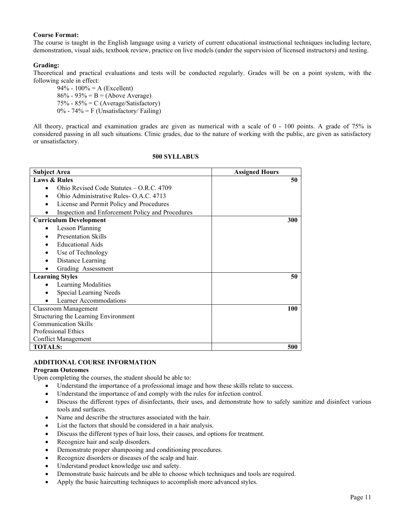#### **Course Format:**

The course is taught in the English language using a variety of current educational instructional techniques including lecture, demonstration, visual aids, textbook review, practice on live models (under the supervision of licensed instructors) and testing.

## **Grading:**

Theoretical and practical evaluations and tests will be conducted regularly. Grades will be on a point system, with the following scale in effect:

94% - 100% = A (Excellent)  $86\% - 93\% = B = (Above Average)$ 75% - 85% = C (Average/Satisfactory)  $0\%$  - 74% = F (Unsatisfactory/ Failing)

All theory, practical and examination grades are given as numerical with a scale of 0 - 100 points. A grade of 75% is considered passing in all such situations. Clinic grades, due to the nature of working with the public, are given as satisfactory or unsatisfactory.

#### **500 SYLLABUS**

| <b>Subject Area</b>                              | <b>Assigned Hours</b> |
|--------------------------------------------------|-----------------------|
| <b>Laws &amp; Rules</b>                          | 50                    |
| Ohio Revised Code Statutes $-$ O.R.C. 4709       |                       |
| Ohio Administrative Rules-O.A.C. 4713            |                       |
| License and Permit Policy and Procedures         |                       |
| Inspection and Enforcement Policy and Procedures |                       |
| <b>Curriculum Development</b>                    | 300                   |
| Lesson Planning<br>٠                             |                       |
| <b>Presentation Skills</b>                       |                       |
| <b>Educational Aids</b>                          |                       |
| Use of Technology                                |                       |
| Distance Learning                                |                       |
| Grading Assessment                               |                       |
| <b>Learning Styles</b>                           | 50                    |
| Learning Modalities<br>$\bullet$                 |                       |
| Special Learning Needs                           |                       |
| Learner Accommodations                           |                       |
| Classroom Management                             | 100                   |
| Structuring the Learning Environment             |                       |
| <b>Communication Skills</b>                      |                       |
| Professional Ethics                              |                       |
| <b>Conflict Management</b>                       |                       |
| <b>TOTALS:</b>                                   | 500                   |

## **ADDITIONAL COURSE INFORMATION**

## **Program Outcomes**

Upon completing the courses, the student should be able to:

- Understand the importance of a professional image and how these skills relate to success.
- Understand the importance of and comply with the rules for infection control.
- Discuss the different types of disinfectants, their uses, and demonstrate how to safely sanitize and disinfect various tools and surfaces.
- Name and describe the structures associated with the hair.
- List the factors that should be considered in a hair analysis.
- Discuss the different types of hair loss, their causes, and options for treatment.
- Recognize hair and scalp disorders.
- Demonstrate proper shampooing and conditioning procedures.
- Recognize disorders or diseases of the scalp and hair.
- Understand product knowledge use and safety.
- Demonstrate basic haircuts and be able to choose which techniques and tools are required.
- Apply the basic haircutting techniques to accomplish more advanced styles.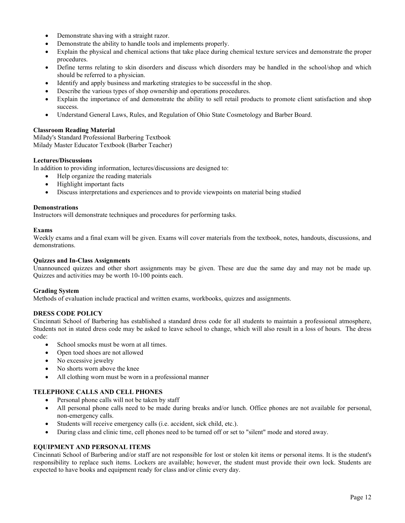- Demonstrate shaving with a straight razor.
- Demonstrate the ability to handle tools and implements properly.
- Explain the physical and chemical actions that take place during chemical texture services and demonstrate the proper procedures.
- Define terms relating to skin disorders and discuss which disorders may be handled in the school/shop and which should be referred to a physician.
- Identify and apply business and marketing strategies to be successful in the shop.
- Describe the various types of shop ownership and operations procedures.
- Explain the importance of and demonstrate the ability to sell retail products to promote client satisfaction and shop success.
- Understand General Laws, Rules, and Regulation of Ohio State Cosmetology and Barber Board.

## **Classroom Reading Material**

Milady's Standard Professional Barbering Textbook Milady Master Educator Textbook (Barber Teacher)

## **Lectures/Discussions**

In addition to providing information, lectures/discussions are designed to:

- Help organize the reading materials
- Highlight important facts
- Discuss interpretations and experiences and to provide viewpoints on material being studied

#### **Demonstrations**

Instructors will demonstrate techniques and procedures for performing tasks.

#### **Exams**

Weekly exams and a final exam will be given. Exams will cover materials from the textbook, notes, handouts, discussions, and demonstrations.

#### **Quizzes and In-Class Assignments**

Unannounced quizzes and other short assignments may be given. These are due the same day and may not be made up. Quizzes and activities may be worth 10-100 points each.

#### **Grading System**

Methods of evaluation include practical and written exams, workbooks, quizzes and assignments.

## **DRESS CODE POLICY**

Cincinnati School of Barbering has established a standard dress code for all students to maintain a professional atmosphere, Students not in stated dress code may be asked to leave school to change, which will also result in a loss of hours. The dress code:

- School smocks must be worn at all times.
- Open toed shoes are not allowed
- No excessive jewelry
- No shorts worn above the knee
- All clothing worn must be worn in a professional manner

## **TELEPHONE CALLS AND CELL PHONES**

- Personal phone calls will not be taken by staff
- All personal phone calls need to be made during breaks and/or lunch. Office phones are not available for personal, non-emergency calls.
- Students will receive emergency calls (i.e. accident, sick child, etc.).
- During class and clinic time, cell phones need to be turned off or set to "silent" mode and stored away.

## **EQUIPMENT AND PERSONAL ITEMS**

Cincinnati School of Barbering and/or staff are not responsible for lost or stolen kit items or personal items. It is the student's responsibility to replace such items. Lockers are available; however, the student must provide their own lock. Students are expected to have books and equipment ready for class and/or clinic every day.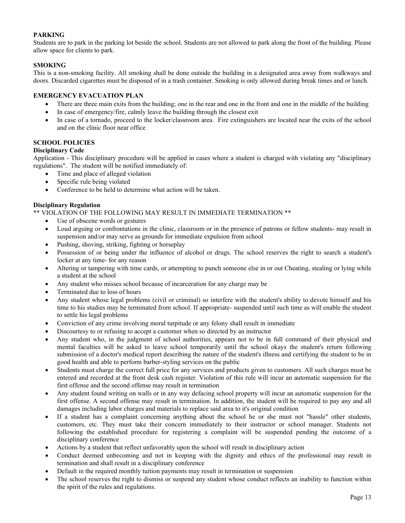## **PARKING**

Students are to park in the parking lot beside the school. Students are not allowed to park along the front of the building. Please allow space for clients to park.

## **SMOKING**

This is a non-smoking facility. All smoking shall be done outside the building in a designated area away from walkways and doors. Discarded cigarettes must be disposed of in a trash container. Smoking is only allowed during break times and or lunch.

## **EMERGENCY EVACUATION PLAN**

- There are three main exits from the building; one in the rear and one in the front and one in the middle of the building
- In case of emergency/fire, calmly leave the building through the closest exit
- In case of a tornado, proceed to the locker/classroom area. Fire extinguishers are located near the exits of the school and on the clinic floor near office

## **SCHOOL POLICIES**

## **Disciplinary Code**

Application - This disciplinary procedure will be applied in cases where a student is charged with violating any "disciplinary regulations". The student will be notified immediately of:

- Time and place of alleged violation
- Specific rule being violated
- Conference to be held to determine what action will be taken.

## **Disciplinary Regulation**

\*\* VIOLATION OF THE FOLLOWING MAY RESULT IN IMMEDIATE TERMINATION \*\*

- Use of obscene words or gestures
- Loud arguing or confrontations in the clinic, classroom or in the presence of patrons or fellow students- may result in suspension and/or may serve as grounds for immediate expulsion from school
- Pushing, shoving, striking, fighting or horseplay
- Possession of or being under the influence of alcohol or drugs. The school reserves the right to search a student's locker at any time- for any reason
- Altering or tampering with time cards, or attempting to punch someone else in or out Cheating, stealing or lying while a student at the school
- Any student who misses school because of incarceration for any charge may be
- Terminated due to loss of hours
- Any student whose legal problems (civil or criminal) so interfere with the student's ability to devote himself and his time to his studies may be terminated from school. If appropriate- suspended until such time as will enable the student to settle his legal problems
- Conviction of any crime involving moral turpitude or any felony shall result in immediate
- Discourtesy to or refusing to accept a customer when so directed by an instructor
- Any student who, in the judgment of school authorities, appears not to be in full command of their physical and mental faculties will be asked to leave school temporarily until the school okays the student's return following submission of a doctor's medical report describing the nature of the student's illness and certifying the student to be in good health and able to perform barber-styling services on the public
- Students must charge the correct full price for any services and products given to customers. All such charges must be entered and recorded at the front desk cash register. Violation of this rule will incur an automatic suspension for the first offense and the second offense may result in termination
- Any student found writing on walls or in any way defacing school property will incur an automatic suspension for the first offense. A second offense may result in termination. In addition, the student will be required to pay any and all damages including labor charges and materials to replace said area to it's original condition
- If a student has a complaint concerning anything about the school he or she must not "hassle" other students, customers, etc. They must take their concern immediately to their instructor or school manager. Students not following the established procedure for registering a complaint will be suspended pending the outcome of a disciplinary conference
- Actions by a student that reflect unfavorably upon the school will result in disciplinary action
- Conduct deemed unbecoming and not in keeping with the dignity and ethics of the professional may result in termination and shall result in a disciplinary conference
- Default in the required monthly tuition payments may result in termination or suspension
- The school reserves the right to dismiss or suspend any student whose conduct reflects an inability to function within the spirit of the rules and regulations.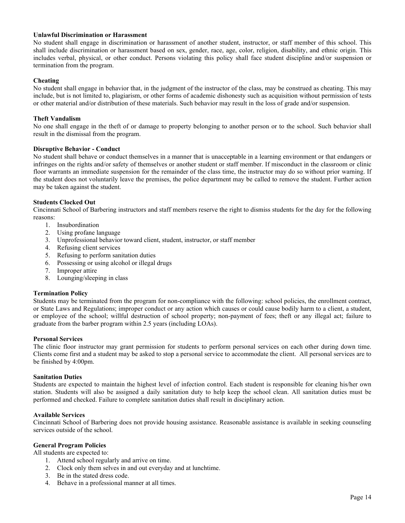#### **Unlawful Discrimination or Harassment**

No student shall engage in discrimination or harassment of another student, instructor, or staff member of this school. This shall include discrimination or harassment based on sex, gender, race, age, color, religion, disability, and ethnic origin. This includes verbal, physical, or other conduct. Persons violating this policy shall face student discipline and/or suspension or termination from the program.

#### **Cheating**

No student shall engage in behavior that, in the judgment of the instructor of the class, may be construed as cheating. This may include, but is not limited to, plagiarism, or other forms of academic dishonesty such as acquisition without permission of tests or other material and/or distribution of these materials. Such behavior may result in the loss of grade and/or suspension.

#### **Theft Vandalism**

No one shall engage in the theft of or damage to property belonging to another person or to the school. Such behavior shall result in the dismissal from the program.

#### **Disruptive Behavior - Conduct**

No student shall behave or conduct themselves in a manner that is unacceptable in a learning environment or that endangers or infringes on the rights and/or safety of themselves or another student or staff member. If misconduct in the classroom or clinic floor warrants an immediate suspension for the remainder of the class time, the instructor may do so without prior warning. If the student does not voluntarily leave the premises, the police department may be called to remove the student. Further action may be taken against the student.

#### **Students Clocked Out**

Cincinnati School of Barbering instructors and staff members reserve the right to dismiss students for the day for the following reasons:

- 1. Insubordination
- 2. Using profane language
- 3. Unprofessional behavior toward client, student, instructor, or staff member
- 4. Refusing client services
- 5. Refusing to perform sanitation duties
- 6. Possessing or using alcohol or illegal drugs
- 7. Improper attire
- 8. Lounging/sleeping in class

#### **Termination Policy**

Students may be terminated from the program for non-compliance with the following: school policies, the enrollment contract, or State Laws and Regulations; improper conduct or any action which causes or could cause bodily harm to a client, a student, or employee of the school; willful destruction of school property; non-payment of fees; theft or any illegal act; failure to graduate from the barber program within 2.5 years (including LOAs).

#### **Personal Services**

The clinic floor instructor may grant permission for students to perform personal services on each other during down time. Clients come first and a student may be asked to stop a personal service to accommodate the client. All personal services are to be finished by 4:00pm.

#### **Sanitation Duties**

Students are expected to maintain the highest level of infection control. Each student is responsible for cleaning his/her own station. Students will also be assigned a daily sanitation duty to help keep the school clean. All sanitation duties must be performed and checked. Failure to complete sanitation duties shall result in disciplinary action.

#### **Available Services**

Cincinnati School of Barbering does not provide housing assistance. Reasonable assistance is available in seeking counseling services outside of the school.

#### **General Program Policies**

All students are expected to:

- 1. Attend school regularly and arrive on time.
- 2. Clock only them selves in and out everyday and at lunchtime.
- 3. Be in the stated dress code.
- 4. Behave in a professional manner at all times.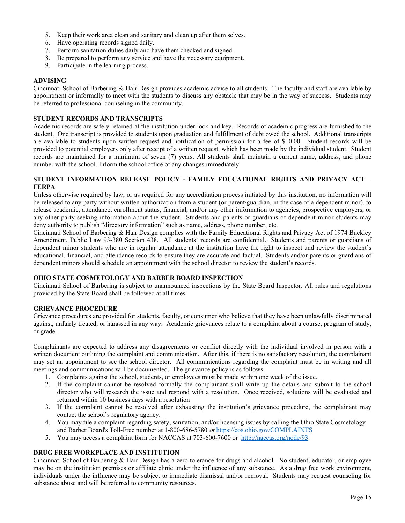- 5. Keep their work area clean and sanitary and clean up after them selves.
- 6. Have operating records signed daily.
- 7. Perform sanitation duties daily and have them checked and signed.
- 8. Be prepared to perform any service and have the necessary equipment.
- 9. Participate in the learning process.

#### **ADVISING**

Cincinnati School of Barbering & Hair Design provides academic advice to all students. The faculty and staff are available by appointment or informally to meet with the students to discuss any obstacle that may be in the way of success. Students may be referred to professional counseling in the community.

#### **STUDENT RECORDS AND TRANSCRIPTS**

Academic records are safely retained at the institution under lock and key. Records of academic progress are furnished to the student. One transcript is provided to students upon graduation and fulfillment of debt owed the school. Additional transcripts are available to students upon written request and notification of permission for a fee of \$10.00. Student records will be provided to potential employers only after receipt of a written request, which has been made by the individual student. Student records are maintained for a minimum of seven (7) years. All students shall maintain a current name, address, and phone number with the school. Inform the school office of any changes immediately.

#### **STUDENT INFORMATION RELEASE POLICY - FAMILY EDUCATIONAL RIGHTS AND PRIVACY ACT – FERPA**

Unless otherwise required by law, or as required for any accreditation process initiated by this institution, no information will be released to any party without written authorization from a student (or parent/guardian, in the case of a dependent minor), to release academic, attendance, enrollment status, financial, and/or any other information to agencies, prospective employers, or any other party seeking information about the student. Students and parents or guardians of dependent minor students may deny authority to publish "directory information" such as name, address, phone number, etc.

Cincinnati School of Barbering & Hair Design complies with the Family Educational Rights and Privacy Act of 1974 Buckley Amendment, Public Law 93-380 Section 438. All students' records are confidential. Students and parents or guardians of dependent minor students who are in regular attendance at the institution have the right to inspect and review the student's educational, financial, and attendance records to ensure they are accurate and factual. Students and/or parents or guardians of dependent minors should schedule an appointment with the school director to review the student's records.

## **OHIO STATE COSMETOLOGY AND BARBER BOARD INSPECTION**

Cincinnati School of Barbering is subject to unannounced inspections by the State Board Inspector. All rules and regulations provided by the State Board shall be followed at all times.

## **GRIEVANCE PROCEDURE**

Grievance procedures are provided for students, faculty, or consumer who believe that they have been unlawfully discriminated against, unfairly treated, or harassed in any way. Academic grievances relate to a complaint about a course, program of study, or grade.

Complainants are expected to address any disagreements or conflict directly with the individual involved in person with a written document outlining the complaint and communication. After this, if there is no satisfactory resolution, the complainant may set an appointment to see the school director. All communications regarding the complaint must be in writing and all meetings and communications will be documented. The grievance policy is as follows:

1. Complaints against the school, students, or employees must be made within one week of the issue.

- 2. If the complaint cannot be resolved formally the complainant shall write up the details and submit to the school director who will research the issue and respond with a resolution. Once received, solutions will be evaluated and returned within 10 business days with a resolution
- 3. If the complaint cannot be resolved after exhausting the institution's grievance procedure, the complainant may contact the school's regulatory agency.
- 4. You may file a complaint regarding safety, sanitation, and/or licensing issues by calling the Ohio State Cosmetology and Barber Board's Toll-Free number at 1-800-686-5780 or <https://cos.ohio.gov/COMPLAINTS>
- 5. You may access a complaint form for NACCAS at 703-600-7600 or<http://naccas.org/node/93>

## **DRUG FREE WORKPLACE AND INSTITUTION**

Cincinnati School of Barbering & Hair Design has a zero tolerance for drugs and alcohol. No student, educator, or employee may be on the institution premises or affiliate clinic under the influence of any substance. As a drug free work environment, individuals under the influence may be subject to immediate dismissal and/or removal. Students may request counseling for substance abuse and will be referred to community resources.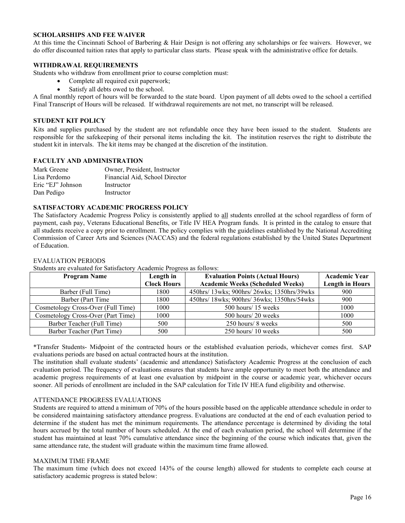#### **SCHOLARSHIPS AND FEE WAIVER**

At this time the Cincinnati School of Barbering & Hair Design is not offering any scholarships or fee waivers. However, we do offer discounted tuition rates that apply to particular class starts. Please speak with the administrative office for details.

#### **WITHDRAWAL REQUIREMENTS**

Students who withdraw from enrollment prior to course completion must:

- Complete all required exit paperwork;
- Satisfy all debts owed to the school.

A final monthly report of hours will be forwarded to the state board. Upon payment of all debts owed to the school a certified Final Transcript of Hours will be released. If withdrawal requirements are not met, no transcript will be released.

#### **STUDENT KIT POLICY**

Kits and supplies purchased by the student are not refundable once they have been issued to the student. Students are responsible for the safekeeping of their personal items including the kit. The institution reserves the right to distribute the student kit in intervals. The kit items may be changed at the discretion of the institution.

#### **FACULTY AND ADMINISTRATION**

| Mark Greene       | Owner, President, Instructor   |
|-------------------|--------------------------------|
| Lisa Perdomo      | Financial Aid, School Director |
| Eric "EJ" Johnson | Instructor                     |
| Dan Pedigo        | Instructor                     |

#### **SATISFACTORY ACADEMIC PROGRESS POLICY**

The Satisfactory Academic Progress Policy is consistently applied to all students enrolled at the school regardless of form of payment, cash pay, Veterans Educational Benefits, or Title IV HEA Program funds. It is printed in the catalog to ensure that all students receive a copy prior to enrollment. The policy complies with the guidelines established by the National Accrediting Commission of Career Arts and Sciences (NACCAS) and the federal regulations established by the United States Department of Education.

#### **Program Name Length in Clock Hours Evaluation Points (Actual Hours) Academic Weeks (Scheduled Weeks) Academic Year Length in Hours** Barber (Full Time) 1800 450hrs/ 13wks; 900hrs/ 26wks; 1350hrs/39wks 900 Barber (Part Time 1800 450hrs/ 18wks; 900hrs/ 36wks; 1350hrs/54wks 900 Cosmetology Cross-Over (Full Time) 1000 1000 500 hours/ 15 weeks 1000 Cosmetology Cross-Over (Part Time) 1000 500 hours/ 20 weeks 1000 Barber Teacher (Full Time) 500 500 250 hours/ 8 weeks 500 Barber Teacher (Part Time) 500  $\vert$  500  $\vert$  250 hours/ 10 weeks 500 500

#### EVALUATION PERIODS

Students are evaluated for Satisfactory Academic Progress as follows:

\*Transfer Students- Midpoint of the contracted hours or the established evaluation periods, whichever comes first. SAP evaluations periods are based on actual contracted hours at the institution.

The institution shall evaluate students' (academic and attendance) Satisfactory Academic Progress at the conclusion of each evaluation period. The frequency of evaluations ensures that students have ample opportunity to meet both the attendance and academic progress requirements of at least one evaluation by midpoint in the course or academic year, whichever occurs sooner. All periods of enrollment are included in the SAP calculation for Title IV HEA fund eligibility and otherwise.

#### ATTENDANCE PROGRESS EVALUATIONS

Students are required to attend a minimum of 70% of the hours possible based on the applicable attendance schedule in order to be considered maintaining satisfactory attendance progress. Evaluations are conducted at the end of each evaluation period to determine if the student has met the minimum requirements. The attendance percentage is determined by dividing the total hours accrued by the total number of hours scheduled. At the end of each evaluation period, the school will determine if the student has maintained at least 70% cumulative attendance since the beginning of the course which indicates that, given the same attendance rate, the student will graduate within the maximum time frame allowed.

#### MAXIMUM TIME FRAME

The maximum time (which does not exceed 143% of the course length) allowed for students to complete each course at satisfactory academic progress is stated below: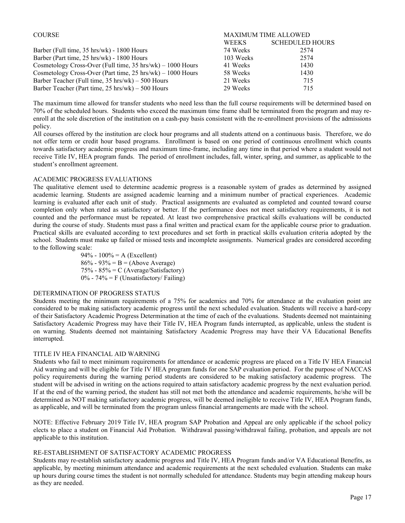| <b>COURSE</b>                                                          |              | <b>MAXIMUM TIME ALLOWED</b> |
|------------------------------------------------------------------------|--------------|-----------------------------|
|                                                                        | <b>WEEKS</b> | <b>SCHEDULED HOURS</b>      |
| Barber (Full time, 35 hrs/wk) - 1800 Hours                             | 74 Weeks     | 2574                        |
| Barber (Part time, 25 hrs/wk) - 1800 Hours                             | 103 Weeks    | 2574                        |
| Cosmetology Cross-Over (Full time, $35 \text{ hrs/wk}$ ) – 1000 Hours  | 41 Weeks     | 1430                        |
| Cosmetology Cross-Over (Part time, $25 \text{ hrs/wk}$ ) – 1000 Hours  | 58 Weeks     | 1430                        |
| Barber Teacher (Full time, $35 \text{ hrs/wk}$ ) – $500 \text{ Hours}$ | 21 Weeks     | 715                         |
| Barber Teacher (Part time, $25 \text{ hrs/wk}$ ) – 500 Hours           | 29 Weeks     | 715                         |

The maximum time allowed for transfer students who need less than the full course requirements will be determined based on 70% of the scheduled hours. Students who exceed the maximum time frame shall be terminated from the program and may reenroll at the sole discretion of the institution on a cash-pay basis consistent with the re-enrollment provisions of the admissions policy.

All courses offered by the institution are clock hour programs and all students attend on a continuous basis. Therefore, we do not offer term or credit hour based programs. Enrollment is based on one period of continuous enrollment which counts towards satisfactory academic progress and maximum time-frame, including any time in that period where a student would not receive Title IV, HEA program funds. The period of enrollment includes, fall, winter, spring, and summer, as applicable to the student's enrollment agreement.

## ACADEMIC PROGRESS EVALUATIONS

The qualitative element used to determine academic progress is a reasonable system of grades as determined by assigned academic learning. Students are assigned academic learning and a minimum number of practical experiences. Academic learning is evaluated after each unit of study. Practical assignments are evaluated as completed and counted toward course completion only when rated as satisfactory or better. If the performance does not meet satisfactory requirements, it is not counted and the performance must be repeated. At least two comprehensive practical skills evaluations will be conducted during the course of study. Students must pass a final written and practical exam for the applicable course prior to graduation. Practical skills are evaluated according to text procedures and set forth in practical skills evaluation criteria adopted by the school. Students must make up failed or missed tests and incomplete assignments. Numerical grades are considered according to the following scale:

94% -  $100% = A$  (Excellent)  $86\% - 93\% = B = (Above Average)$ 75% - 85% = C (Average/Satisfactory)  $0\%$  - 74% = F (Unsatisfactory/ Failing)

## DETERMINATION OF PROGRESS STATUS

Students meeting the minimum requirements of a 75% for academics and 70% for attendance at the evaluation point are considered to be making satisfactory academic progress until the next scheduled evaluation. Students will receive a hard-copy of their Satisfactory Academic Progress Determination at the time of each of the evaluations. Students deemed not maintaining Satisfactory Academic Progress may have their Title IV, HEA Program funds interrupted, as applicable, unless the student is on warning. Students deemed not maintaining Satisfactory Academic Progress may have their VA Educational Benefits interrupted.

## TITLE IV HEA FINANCIAL AID WARNING

Students who fail to meet minimum requirements for attendance or academic progress are placed on a Title IV HEA Financial Aid warning and will be eligible for Title IV HEA program funds for one SAP evaluation period. For the purpose of NACCAS policy requirements during the warning period students are considered to be making satisfactory academic progress. The student will be advised in writing on the actions required to attain satisfactory academic progress by the next evaluation period. If at the end of the warning period, the student has still not met both the attendance and academic requirements, he/she will be determined as NOT making satisfactory academic progress, will be deemed ineligible to receive Title IV, HEA Program funds, as applicable, and will be terminated from the program unless financial arrangements are made with the school.

NOTE: Effective February 2019 Title IV, HEA program SAP Probation and Appeal are only applicable if the school policy elects to place a student on Financial Aid Probation. Withdrawal passing/withdrawal failing, probation, and appeals are not applicable to this institution.

## RE-ESTABLISHMENT OF SATISFACTORY ACADEMIC PROGRESS

Students may re-establish satisfactory academic progress and Title IV, HEA Program funds and/or VA Educational Benefits, as applicable, by meeting minimum attendance and academic requirements at the next scheduled evaluation. Students can make up hours during course times the student is not normally scheduled for attendance. Students may begin attending makeup hours as they are needed.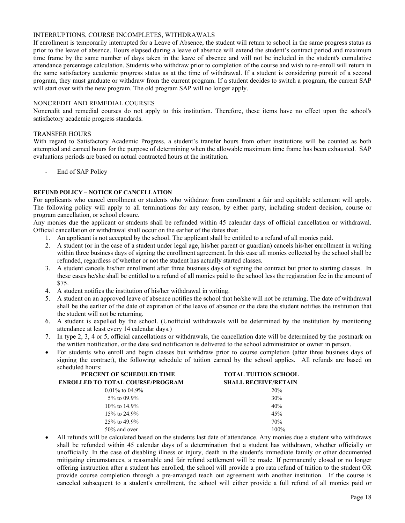## INTERRUPTIONS, COURSE INCOMPLETES, WITHDRAWALS

If enrollment is temporarily interrupted for a Leave of Absence, the student will return to school in the same progress status as prior to the leave of absence. Hours elapsed during a leave of absence will extend the student's contract period and maximum time frame by the same number of days taken in the leave of absence and will not be included in the student's cumulative attendance percentage calculation. Students who withdraw prior to completion of the course and wish to re-enroll will return in the same satisfactory academic progress status as at the time of withdrawal. If a student is considering pursuit of a second program, they must graduate or withdraw from the current program. If a student decides to switch a program, the current SAP will start over with the new program. The old program SAP will no longer apply.

#### NONCREDIT AND REMEDIAL COURSES

Noncredit and remedial courses do not apply to this institution. Therefore, these items have no effect upon the school's satisfactory academic progress standards.

#### TRANSFER HOURS

With regard to Satisfactory Academic Progress, a student's transfer hours from other institutions will be counted as both attempted and earned hours for the purpose of determining when the allowable maximum time frame has been exhausted. SAP evaluations periods are based on actual contracted hours at the institution.

- End of SAP Policy –

## **REFUND POLICY – NOTICE OF CANCELLATION**

For applicants who cancel enrollment or students who withdraw from enrollment a fair and equitable settlement will apply. The following policy will apply to all terminations for any reason, by either party, including student decision, course or program cancellation, or school closure.

Any monies due the applicant or students shall be refunded within 45 calendar days of official cancellation or withdrawal. Official cancellation or withdrawal shall occur on the earlier of the dates that:

- 1. An applicant is not accepted by the school. The applicant shall be entitled to a refund of all monies paid.
- 2. A student (or in the case of a student under legal age, his/her parent or guardian) cancels his/her enrollment in writing within three business days of signing the enrollment agreement. In this case all monies collected by the school shall be refunded, regardless of whether or not the student has actually started classes.
- 3. A student cancels his/her enrollment after three business days of signing the contract but prior to starting classes. In these cases he/she shall be entitled to a refund of all monies paid to the school less the registration fee in the amount of \$75.
- 4. A student notifies the institution of his/her withdrawal in writing.
- 5. A student on an approved leave of absence notifies the school that he/she will not be returning. The date of withdrawal shall be the earlier of the date of expiration of the leave of absence or the date the student notifies the institution that the student will not be returning.
- 6. A student is expelled by the school. (Unofficial withdrawals will be determined by the institution by monitoring attendance at least every 14 calendar days.)
- 7. In type 2, 3, 4 or 5, official cancellations or withdrawals, the cancellation date will be determined by the postmark on the written notification, or the date said notification is delivered to the school administrator or owner in person.
- For students who enroll and begin classes but withdraw prior to course completion (after three business days of signing the contract), the following schedule of tuition earned by the school applies. All refunds are based on scheduled hours:

| PERCENT OF SCHEDULED TIME        | <b>TOTAL TUITION SCHOOL</b> |
|----------------------------------|-----------------------------|
| ENROLLED TO TOTAL COURSE/PROGRAM | <b>SHALL RECEIVE/RETAIN</b> |
| $0.01\%$ to 04.9%                | <b>20%</b>                  |
| $5\%$ to 09.9%                   | 30%                         |
| $10\%$ to $14.9\%$               | 40%                         |
| 15\% to 24.9\%                   | 45%                         |
| $25\%$ to 49.9%                  | 70%                         |
| $50\%$ and over                  | 100%                        |

• All refunds will be calculated based on the students last date of attendance. Any monies due a student who withdraws shall be refunded within 45 calendar days of a determination that a student has withdrawn, whether officially or unofficially. In the case of disabling illness or injury, death in the student's immediate family or other documented mitigating circumstances, a reasonable and fair refund settlement will be made. If permanently closed or no longer offering instruction after a student has enrolled, the school will provide a pro rata refund of tuition to the student OR provide course completion through a pre-arranged teach out agreement with another institution. If the course is canceled subsequent to a student's enrollment, the school will either provide a full refund of all monies paid or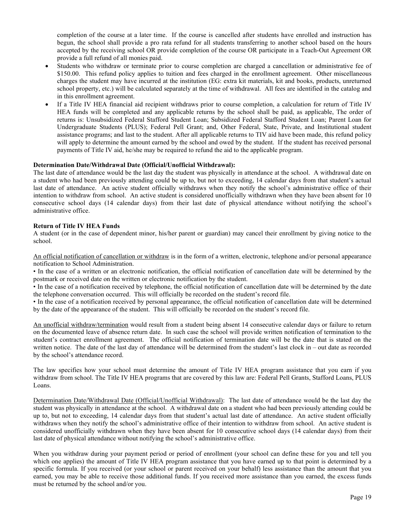completion of the course at a later time. If the course is cancelled after students have enrolled and instruction has begun, the school shall provide a pro rata refund for all students transferring to another school based on the hours accepted by the receiving school OR provide completion of the course OR participate in a Teach-Out Agreement OR provide a full refund of all monies paid.

- Students who withdraw or terminate prior to course completion are charged a cancellation or administrative fee of \$150.00. This refund policy applies to tuition and fees charged in the enrollment agreement. Other miscellaneous charges the student may have incurred at the institution (EG: extra kit materials, kit and books, products, unreturned school property, etc.) will be calculated separately at the time of withdrawal. All fees are identified in the catalog and in this enrollment agreement.
- If a Title IV HEA financial aid recipient withdraws prior to course completion, a calculation for return of Title IV HEA funds will be completed and any applicable returns by the school shall be paid, as applicable, The order of returns is: Unsubsidized Federal Stafford Student Loan; Subsidized Federal Stafford Student Loan; Parent Loan for Undergraduate Students (PLUS); Federal Pell Grant; and, Other Federal, State, Private, and Institutional student assistance programs; and last to the student. After all applicable returns to TIV aid have been made, this refund policy will apply to determine the amount earned by the school and owed by the student. If the student has received personal payments of Title IV aid, he/she may be required to refund the aid to the applicable program.

## **Determination Date/Withdrawal Date (Official/Unofficial Withdrawal):**

The last date of attendance would be the last day the student was physically in attendance at the school. A withdrawal date on a student who had been previously attending could be up to, but not to exceeding, 14 calendar days from that student's actual last date of attendance. An active student officially withdraws when they notify the school's administrative office of their intention to withdraw from school. An active student is considered unofficially withdrawn when they have been absent for 10 consecutive school days (14 calendar days) from their last date of physical attendance without notifying the school's administrative office.

## **Return of Title IV HEA Funds**

A student (or in the case of dependent minor, his/her parent or guardian) may cancel their enrollment by giving notice to the school.

An official notification of cancellation or withdraw is in the form of a written, electronic, telephone and/or personal appearance notification to School Administration.

• In the case of a written or an electronic notification, the official notification of cancellation date will be determined by the postmark or received date on the written or electronic notification by the student.

• In the case of a notification received by telephone, the official notification of cancellation date will be determined by the date the telephone conversation occurred. This will officially be recorded on the student's record file.

• In the case of a notification received by personal appearance, the official notification of cancellation date will be determined by the date of the appearance of the student. This will officially be recorded on the student's record file.

An unofficial withdraw/termination would result from a student being absent 14 consecutive calendar days or failure to return on the documented leave of absence return date. In such case the school will provide written notification of termination to the student's contract enrollment agreement. The official notification of termination date will be the date that is stated on the written notice. The date of the last day of attendance will be determined from the student's last clock in – out date as recorded by the school's attendance record.

The law specifies how your school must determine the amount of Title IV HEA program assistance that you earn if you withdraw from school. The Title IV HEA programs that are covered by this law are: Federal Pell Grants, Stafford Loans, PLUS Loans.

Determination Date/Withdrawal Date (Official/Unofficial Withdrawal):The last date of attendance would be the last day the student was physically in attendance at the school. A withdrawal date on a student who had been previously attending could be up to, but not to exceeding, 14 calendar days from that student's actual last date of attendance. An active student officially withdraws when they notify the school's administrative office of their intention to withdraw from school. An active student is considered unofficially withdrawn when they have been absent for 10 consecutive school days (14 calendar days) from their last date of physical attendance without notifying the school's administrative office.

When you withdraw during your payment period or period of enrollment (your school can define these for you and tell you which one applies) the amount of Title IV HEA program assistance that you have earned up to that point is determined by a specific formula. If you received (or your school or parent received on your behalf) less assistance than the amount that you earned, you may be able to receive those additional funds. If you received more assistance than you earned, the excess funds must be returned by the school and/or you.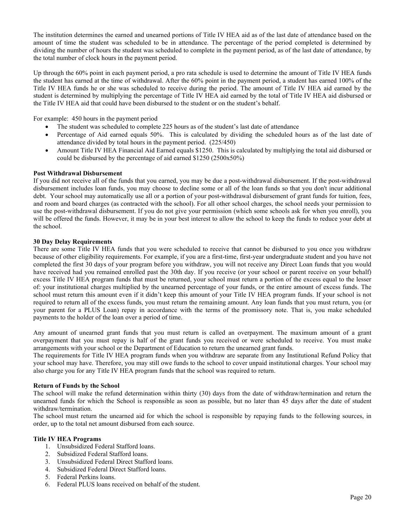The institution determines the earned and unearned portions of Title IV HEA aid as of the last date of attendance based on the amount of time the student was scheduled to be in attendance. The percentage of the period completed is determined by dividing the number of hours the student was scheduled to complete in the payment period, as of the last date of attendance, by the total number of clock hours in the payment period.

Up through the 60% point in each payment period, a pro rata schedule is used to determine the amount of Title IV HEA funds the student has earned at the time of withdrawal. After the 60% point in the payment period, a student has earned 100% of the Title IV HEA funds he or she was scheduled to receive during the period. The amount of Title IV HEA aid earned by the student is determined by multiplying the percentage of Title IV HEA aid earned by the total of Title IV HEA aid disbursed or the Title IV HEA aid that could have been disbursed to the student or on the student's behalf.

For example: 450 hours in the payment period

- The student was scheduled to complete 225 hours as of the student's last date of attendance
- Percentage of Aid earned equals 50%. This is calculated by dividing the scheduled hours as of the last date of attendance divided by total hours in the payment period. (225/450)
- Amount Title IV HEA Financial Aid Earned equals \$1250. This is calculated by multiplying the total aid disbursed or could be disbursed by the percentage of aid earned \$1250 (2500x50%)

## **Post Withdrawal Disbursement**

If you did not receive all of the funds that you earned, you may be due a post-withdrawal disbursement. If the post-withdrawal disbursement includes loan funds, you may choose to decline some or all of the loan funds so that you don't incur additional debt. Your school may automatically use all or a portion of your post-withdrawal disbursement of grant funds for tuition, fees, and room and board charges (as contracted with the school). For all other school charges, the school needs your permission to use the post-withdrawal disbursement. If you do not give your permission (which some schools ask for when you enroll), you will be offered the funds. However, it may be in your best interest to allow the school to keep the funds to reduce your debt at the school.

## **30 Day Delay Requirements**

There are some Title IV HEA funds that you were scheduled to receive that cannot be disbursed to you once you withdraw because of other eligibility requirements. For example, if you are a first-time, first-year undergraduate student and you have not completed the first 30 days of your program before you withdraw, you will not receive any Direct Loan funds that you would have received had you remained enrolled past the 30th day. If you receive (or your school or parent receive on your behalf) excess Title IV HEA program funds that must be returned, your school must return a portion of the excess equal to the lesser of: your institutional charges multiplied by the unearned percentage of your funds, or the entire amount of excess funds. The school must return this amount even if it didn't keep this amount of your Title IV HEA program funds. If your school is not required to return all of the excess funds, you must return the remaining amount. Any loan funds that you must return, you (or your parent for a PLUS Loan) repay in accordance with the terms of the promissory note. That is, you make scheduled payments to the holder of the loan over a period of time.

Any amount of unearned grant funds that you must return is called an overpayment. The maximum amount of a grant overpayment that you must repay is half of the grant funds you received or were scheduled to receive. You must make arrangements with your school or the Department of Education to return the unearned grant funds.

The requirements for Title IV HEA program funds when you withdraw are separate from any Institutional Refund Policy that your school may have. Therefore, you may still owe funds to the school to cover unpaid institutional charges. Your school may also charge you for any Title IV HEA program funds that the school was required to return.

## **Return of Funds by the School**

The school will make the refund determination within thirty (30) days from the date of withdraw/termination and return the unearned funds for which the School is responsible as soon as possible, but no later than 45 days after the date of student withdraw/termination.

The school must return the unearned aid for which the school is responsible by repaying funds to the following sources, in order, up to the total net amount disbursed from each source.

## **Title IV HEA Programs**

- 1. Unsubsidized Federal Stafford loans.
- 2. Subsidized Federal Stafford loans.
- 3. Unsubsidized Federal Direct Stafford loans.
- 4. Subsidized Federal Direct Stafford loans.
- 5. Federal Perkins loans.
- 6. Federal PLUS loans received on behalf of the student.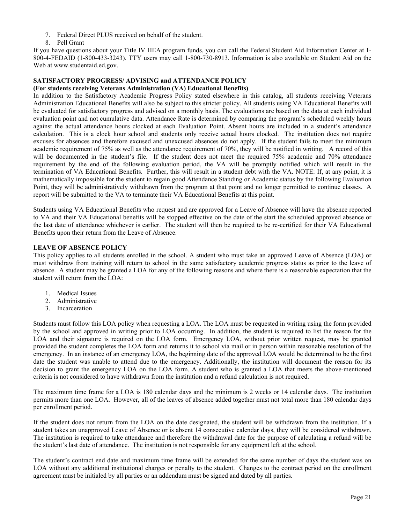- 7. Federal Direct PLUS received on behalf of the student.
- 8. Pell Grant

If you have questions about your Title IV HEA program funds, you can call the Federal Student Aid Information Center at 1- 800-4-FEDAID (1-800-433-3243). TTY users may call 1-800-730-8913. Information is also available on Student Aid on the Web at www.studentaid.ed.gov.

## **SATISFACTORY PROGRESS/ ADVISING and ATTENDANCE POLICY**

#### **(For students receiving Veterans Administration (VA) Educational Benefits)**

In addition to the Satisfactory Academic Progress Policy stated elsewhere in this catalog, all students receiving Veterans Administration Educational Benefits will also be subject to this stricter policy. All students using VA Educational Benefits will be evaluated for satisfactory progress and advised on a monthly basis. The evaluations are based on the data at each individual evaluation point and not cumulative data. Attendance Rate is determined by comparing the program's scheduled weekly hours against the actual attendance hours clocked at each Evaluation Point. Absent hours are included in a student's attendance calculation. This is a clock hour school and students only receive actual hours clocked. The institution does not require excuses for absences and therefore excused and unexcused absences do not apply. If the student fails to meet the minimum academic requirement of 75% as well as the attendance requirement of 70%, they will be notified in writing. A record of this will be documented in the student's file. If the student does not meet the required 75% academic and 70% attendance requirement by the end of the following evaluation period, the VA will be promptly notified which will result in the termination of VA Educational Benefits. Further, this will result in a student debt with the VA. NOTE: If, at any point, it is mathematically impossible for the student to regain good Attendance Standing or Academic status by the following Evaluation Point, they will be administratively withdrawn from the program at that point and no longer permitted to continue classes. A report will be submitted to the VA to terminate their VA Educational Benefits at this point.

Students using VA Educational Benefits who request and are approved for a Leave of Absence will have the absence reported to VA and their VA Educational benefits will be stopped effective on the date of the start the scheduled approved absence or the last date of attendance whichever is earlier. The student will then be required to be re-certified for their VA Educational Benefits upon their return from the Leave of Absence.

#### **LEAVE OF ABSENCE POLICY**

This policy applies to all students enrolled in the school. A student who must take an approved Leave of Absence (LOA) or must withdraw from training will return to school in the same satisfactory academic progress status as prior to the leave of absence. A student may be granted a LOA for any of the following reasons and where there is a reasonable expectation that the student will return from the LOA:

- 1. Medical Issues
- 2. Administrative
- 3. Incarceration

Students must follow this LOA policy when requesting a LOA. The LOA must be requested in writing using the form provided by the school and approved in writing prior to LOA occurring. In addition, the student is required to list the reason for the LOA and their signature is required on the LOA form. Emergency LOA, without prior written request, may be granted provided the student completes the LOA form and returns it to school via mail or in person within reasonable resolution of the emergency. In an instance of an emergency LOA, the beginning date of the approved LOA would be determined to be the first date the student was unable to attend due to the emergency. Additionally, the institution will document the reason for its decision to grant the emergency LOA on the LOA form. A student who is granted a LOA that meets the above-mentioned criteria is not considered to have withdrawn from the institution and a refund calculation is not required.

The maximum time frame for a LOA is 180 calendar days and the minimum is 2 weeks or 14 calendar days. The institution permits more than one LOA. However, all of the leaves of absence added together must not total more than 180 calendar days per enrollment period.

If the student does not return from the LOA on the date designated, the student will be withdrawn from the institution. If a student takes an unapproved Leave of Absence or is absent 14 consecutive calendar days, they will be considered withdrawn. The institution is required to take attendance and therefore the withdrawal date for the purpose of calculating a refund will be the student's last date of attendance. The institution is not responsible for any equipment left at the school.

The student's contract end date and maximum time frame will be extended for the same number of days the student was on LOA without any additional institutional charges or penalty to the student. Changes to the contract period on the enrollment agreement must be initialed by all parties or an addendum must be signed and dated by all parties.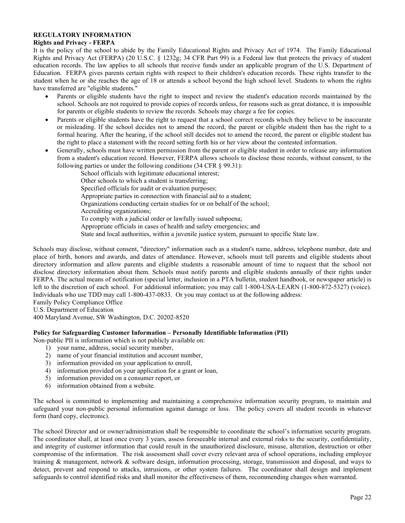## **REGULATORY INFORMATION**

## **Rights and Privacy - FERPA**

It is the policy of the school to abide by the Family Educational Rights and Privacy Act of 1974. The Family Educational Rights and Privacy Act (FERPA) (20 U.S.C. § 1232g; 34 CFR Part 99) is a Federal law that protects the privacy of student education records. The law applies to all schools that receive funds under an applicable program of the U.S. Department of Education. FERPA gives parents certain rights with respect to their children's education records. These rights transfer to the student when he or she reaches the age of 18 or attends a school beyond the high school level. Students to whom the rights have transferred are "eligible students."

- Parents or eligible students have the right to inspect and review the student's education records maintained by the school. Schools are not required to provide copies of records unless, for reasons such as great distance, it is impossible for parents or eligible students to review the records. Schools may charge a fee for copies.
- Parents or eligible students have the right to request that a school correct records which they believe to be inaccurate or misleading. If the school decides not to amend the record, the parent or eligible student then has the right to a formal hearing. After the hearing, if the school still decides not to amend the record, the parent or eligible student has the right to place a statement with the record setting forth his or her view about the contested information.
- Generally, schools must have written permission from the parent or eligible student in order to release any information from a student's education record. However, FERPA allows schools to disclose those records, without consent, to the following parties or under the following conditions (34 CFR § 99.31):

School officials with legitimate educational interest; Other schools to which a student is transferring; Specified officials for audit or evaluation purposes; Appropriate parties in connection with financial aid to a student; Organizations conducting certain studies for or on behalf of the school; Accrediting organizations; To comply with a judicial order or lawfully issued subpoena; Appropriate officials in cases of health and safety emergencies; and State and local authorities, within a juvenile justice system, pursuant to specific State law.

Schools may disclose, without consent, "directory" information such as a student's name, address, telephone number, date and place of birth, honors and awards, and dates of attendance. However, schools must tell parents and eligible students about directory information and allow parents and eligible students a reasonable amount of time to request that the school not disclose directory information about them. Schools must notify parents and eligible students annually of their rights under FERPA. The actual means of notification (special letter, inclusion in a PTA bulletin, student handbook, or newspaper article) is left to the discretion of each school. For additional information; you may call 1-800-USA-LEARN (1-800-872-5327) (voice). Individuals who use TDD may call 1-800-437-0833. Or you may contact us at the following address:

Family Policy Compliance Office

U.S. Department of Education

400 Maryland Avenue, SW Washington, D.C. 20202-8520

## **Policy for Safeguarding Customer Information – Personally Identifiable Information (PII)**

Non-public PII is information which is not publicly available on:

- 1) your name, address, social security number,
- 2) name of your financial institution and account number,
- 3) information provided on your application to enroll,
- 4) information provided on your application for a grant or loan,
- 5) information provided on a consumer report, or
- 6) information obtained from a website.

The school is committed to implementing and maintaining a comprehensive information security program, to maintain and safeguard your non-public personal information against damage or loss. The policy covers all student records in whatever form (hard copy, electronic).

The school Director and or owner/administration shall be responsible to coordinate the school's information security program. The coordinator shall, at least once every 3 years, assess foreseeable internal and external risks to the security, confidentiality, and integrity of customer information that could result in the unauthorized disclosure, misuse, alteration, destruction or other compromise of the information. The risk assessment shall cover every relevant area of school operations, including employee training & management, network & software design, information processing, storage, transmission and disposal, and ways to detect, prevent and respond to attacks, intrusions, or other system failures. The coordinator shall design and implement safeguards to control identified risks and shall monitor the effectiveness of them, recommending changes when warranted.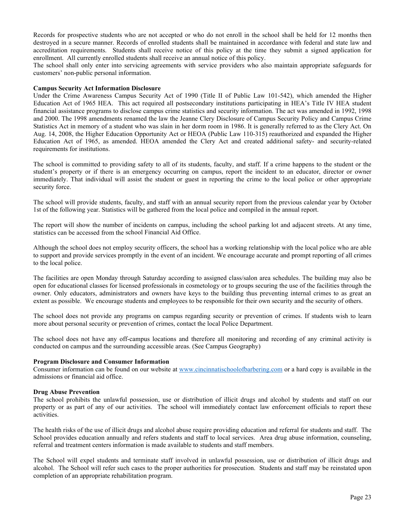Records for prospective students who are not accepted or who do not enroll in the school shall be held for 12 months then destroyed in a secure manner. Records of enrolled students shall be maintained in accordance with federal and state law and accreditation requirements. Students shall receive notice of this policy at the time they submit a signed application for enrollment. All currently enrolled students shall receive an annual notice of this policy.

The school shall only enter into servicing agreements with service providers who also maintain appropriate safeguards for customers' non-public personal information.

#### **Campus Security Act Information Disclosure**

Under the Crime Awareness Campus Security Act of 1990 (Title II of Public Law 101-542), which amended the Higher Education Act of 1965 HEA. This act required all postsecondary institutions participating in HEA's Title IV HEA student financial assistance programs to disclose campus crime statistics and security information. The act was amended in 1992, 1998 and 2000. The 1998 amendments renamed the law the Jeanne Clery Disclosure of Campus Security Policy and Campus Crime Statistics Act in memory of a student who was slain in her dorm room in 1986. It is generally referred to as the Clery Act. On Aug. 14, 2008, the Higher Education Opportunity Act or HEOA (Public Law 110-315) reauthorized and expanded the Higher Education Act of 1965, as amended. HEOA amended the Clery Act and created additional safety- and security-related requirements for institutions.

The school is committed to providing safety to all of its students, faculty, and staff. If a crime happens to the student or the student's property or if there is an emergency occurring on campus, report the incident to an educator, director or owner immediately. That individual will assist the student or guest in reporting the crime to the local police or other appropriate security force.

The school will provide students, faculty, and staff with an annual security report from the previous calendar year by October 1st of the following year. Statistics will be gathered from the local police and compiled in the annual report.

The report will show the number of incidents on campus, including the school parking lot and adjacent streets. At any time, statistics can be accessed from the school Financial Aid Office.

Although the school does not employ security officers, the school has a working relationship with the local police who are able to support and provide services promptly in the event of an incident. We encourage accurate and prompt reporting of all crimes to the local police.

The facilities are open Monday through Saturday according to assigned class/salon area schedules. The building may also be open for educational classes for licensed professionals in cosmetology or to groups securing the use of the facilities through the owner. Only educators, administrators and owners have keys to the building thus preventing internal crimes to as great an extent as possible. We encourage students and employees to be responsible for their own security and the security of others.

The school does not provide any programs on campus regarding security or prevention of crimes. If students wish to learn more about personal security or prevention of crimes, contact the local Police Department.

The school does not have any off-campus locations and therefore all monitoring and recording of any criminal activity is conducted on campus and the surrounding accessible areas. (See Campus Geography)

#### **Program Disclosure and Consumer Information**

Consumer information can be found on our website at [www.cincinnatischoolofbarbering.com](http://www.cincinnatischoolofbarbering.com/) or a hard copy is available in the admissions or financial aid office.

#### **Drug Abuse Prevention**

The school prohibits the unlawful possession, use or distribution of illicit drugs and alcohol by students and staff on our property or as part of any of our activities. The school will immediately contact law enforcement officials to report these activities.

The health risks of the use of illicit drugs and alcohol abuse require providing education and referral for students and staff. The School provides education annually and refers students and staff to local services. Area drug abuse information, counseling, referral and treatment centers information is made available to students and staff members.

The School will expel students and terminate staff involved in unlawful possession, use or distribution of illicit drugs and alcohol. The School will refer such cases to the proper authorities for prosecution. Students and staff may be reinstated upon completion of an appropriate rehabilitation program.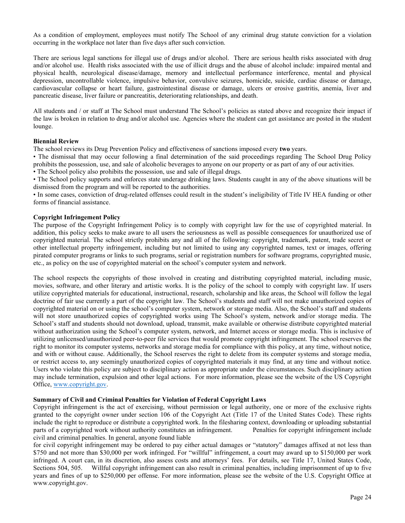As a condition of employment, employees must notify The School of any criminal drug statute conviction for a violation occurring in the workplace not later than five days after such conviction.

There are serious legal sanctions for illegal use of drugs and/or alcohol. There are serious health risks associated with drug and/or alcohol use. Health risks associated with the use of illicit drugs and the abuse of alcohol include: impaired mental and physical health, neurological disease/damage, memory and intellectual performance interference, mental and physical depression, uncontrollable violence, impulsive behavior, convulsive seizures, homicide, suicide, cardiac disease or damage, cardiovascular collapse or heart failure, gastrointestinal disease or damage, ulcers or erosive gastritis, anemia, liver and pancreatic disease, liver failure or pancreatitis, deteriorating relationships, and death.

All students and / or staff at The School must understand The School's policies as stated above and recognize their impact if the law is broken in relation to drug and/or alcohol use. Agencies where the student can get assistance are posted in the student lounge.

#### **Biennial Review**

The school reviews its Drug Prevention Policy and effectiveness of sanctions imposed every **two** years.

• The dismissal that may occur following a final determination of the said proceedings regarding The School Drug Policy prohibits the possession, use, and sale of alcoholic beverages to anyone on our property or as part of any of our activities.

• The School policy also prohibits the possession, use and sale of illegal drugs.

• The School policy supports and enforces state underage drinking laws. Students caught in any of the above situations will be dismissed from the program and will be reported to the authorities.

• In some cases, conviction of drug-related offenses could result in the student's ineligibility of Title IV HEA funding or other forms of financial assistance.

#### **Copyright Infringement Policy**

The purpose of the Copyright Infringement Policy is to comply with copyright law for the use of copyrighted material. In addition, this policy seeks to make aware to all users the seriousness as well as possible consequences for unauthorized use of copyrighted material. The school strictly prohibits any and all of the following: copyright, trademark, patent, trade secret or other intellectual property infringement, including but not limited to using any copyrighted names, text or images, offering pirated computer programs or links to such programs, serial or registration numbers for software programs, copyrighted music, etc., as policy on the use of copyrighted material on the school's computer system and network.

The school respects the copyrights of those involved in creating and distributing copyrighted material, including music, movies, software, and other literary and artistic works. It is the policy of the school to comply with copyright law. If users utilize copyrighted materials for educational, instructional, research, scholarship and like areas, the School will follow the legal doctrine of fair use currently a part of the copyright law. The School's students and staff will not make unauthorized copies of copyrighted material on or using the school's computer system, network or storage media. Also, the School's staff and students will not store unauthorized copies of copyrighted works using The School's system, network and/or storage media. The School's staff and students should not download, upload, transmit, make available or otherwise distribute copyrighted material without authorization using the School's computer system, network, and Internet access or storage media. This is inclusive of utilizing unlicensed/unauthorized peer-to-peer file services that would promote copyright infringement. The school reserves the right to monitor its computer systems, networks and storage media for compliance with this policy, at any time, without notice, and with or without cause. Additionally, the School reserves the right to delete from its computer systems and storage media, or restrict access to, any seemingly unauthorized copies of copyrighted materials it may find, at any time and without notice. Users who violate this policy are subject to disciplinary action as appropriate under the circumstances. Such disciplinary action may include termination, expulsion and other legal actions. For more information, please see the website of the US Copyright Office, [www.copyright.gov.](http://www.copyright.gov/)

#### **Summary of Civil and Criminal Penalties for Violation of Federal Copyright Laws**

Copyright infringement is the act of exercising, without permission or legal authority, one or more of the exclusive rights granted to the copyright owner under section 106 of the Copyright Act (Title 17 of the United States Code). These rights include the right to reproduce or distribute a copyrighted work. In the filesharing context, downloading or uploading substantial parts of a copyrighted work without authority constitutes an infringement. Penalties for copyright infringement include civil and criminal penalties. In general, anyone found liable

for civil copyright infringement may be ordered to pay either actual damages or "statutory" damages affixed at not less than \$750 and not more than \$30,000 per work infringed. For "willful" infringement, a court may award up to \$150,000 per work infringed. A court can, in its discretion, also assess costs and attorneys' fees. For details, see Title 17, United States Code, Sections 504, 505. Willful copyright infringement can also result in criminal penalties, including imprisonment of up to five years and fines of up to \$250,000 per offense. For more information, please see the website of the U.S. Copyright Office at www.copyright.gov.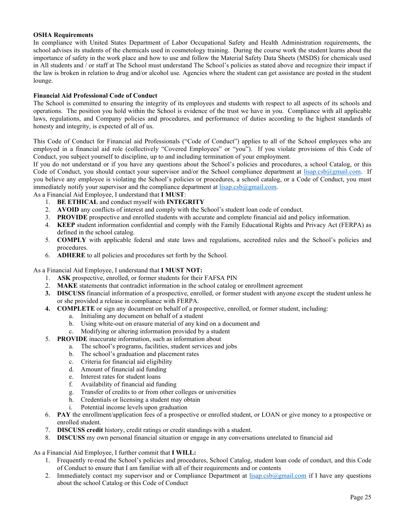## **OSHA Requirements**

In compliance with United States Department of Labor Occupational Safety and Health Administration requirements, the school advises its students of the chemicals used in cosmetology training. During the course work the student learns about the importance of safety in the work place and how to use and follow the Material Safety Data Sheets (MSDS) for chemicals used in All students and / or staff at The School must understand The School's policies as stated above and recognize their impact if the law is broken in relation to drug and/or alcohol use. Agencies where the student can get assistance are posted in the student lounge.

#### **Financial Aid Professional Code of Conduct**

The School is committed to ensuring the integrity of its employees and students with respect to all aspects of its schools and operations. The position you hold within the School is evidence of the trust we have in you. Compliance with all applicable laws, regulations, and Company policies and procedures, and performance of duties according to the highest standards of honesty and integrity, is expected of all of us.

This Code of Conduct for Financial aid Professionals ("Code of Conduct") applies to all of the School employees who are employed in a financial aid role (collectively "Covered Employees" or "you"). If you violate provisions of this Code of Conduct, you subject yourself to discipline, up to and including termination of your employment.

If you do not understand or if you have any questions about the School's policies and procedures, a school Catalog, or this Code of Conduct, you should contact your supervisor and/or the School compliance department at  $l$ isap.csb $@g$ mail.com. If you believe any employee is violating the School's policies or procedures, a school catalog, or a Code of Conduct, you must immediately notify your supervisor and the compliance department at  $lisan.csb@gmail.com$ .

As a Financial Aid Employee, I understand that **I MUST**:

- 1. **BE ETHICAL** and conduct myself with **INTEGRITY**
- 2. **AVOID** any conflicts of interest and comply with the School's student loan code of conduct.
- 3. **PROVIDE** prospective and enrolled students with accurate and complete financial aid and policy information.
- 4. **KEEP** student information confidential and comply with the Family Educational Rights and Privacy Act (FERPA) as defined in the school catalog.
- 5. **COMPLY** with applicable federal and state laws and regulations, accredited rules and the School's policies and procedures.
- 6. **ADHERE** to all policies and procedures set forth by the School.

As a Financial Aid Employee, I understand that **I MUST NOT:**

- 1. **ASK** prospective, enrolled, or former students for their FAFSA PIN
- 2. **MAKE** statements that contradict information in the school catalog or enrollment agreement
- **3. DISCUSS** financial information of a prospective, enrolled, or former student with anyone except the student unless he or she provided a release in compliance with FERPA.
- **4. COMPLETE** or sign any document on behalf of a prospective, enrolled, or former student, including:
	- a. Initialing any document on behalf of a student
	- b. Using white-out on erasure material of any kind on a document and
	- c. Modifying or altering information provided by a student
- 5. **PROVIDE** inaccurate information, such as information about
	- a. The school's programs, facilities, student services and jobs
	- b. The school's graduation and placement rates
	- c. Criteria for financial aid eligibility
	- d. Amount of financial aid funding
	- e. Interest rates for student loans
	- f. Availability of financial aid funding
	- g. Transfer of credits to or from other colleges or universities
	- h. Credentials or licensing a student may obtain
	- i. Potential income levels upon graduation
- 6. **PAY** the enrollment/application fees of a prospective or enrolled student, or LOAN or give money to a prospective or enrolled student.
- 7. **DISCUSS credit** history, credit ratings or credit standings with a student.
- 8. **DISCUSS** my own personal financial situation or engage in any conversations unrelated to financial aid

#### As a Financial Aid Employee, I further commit that **I WILL:**

- 1. Frequently re-read the School's policies and procedures, School Catalog, student loan code of conduct, and this Code of Conduct to ensure that I am familiar with all of their requirements and or contents
- 2. Immediately contact my supervisor and or Compliance Department at  $l$ isap.csb $\omega$ gmail.com if I have any questions about the school Catalog or this Code of Conduct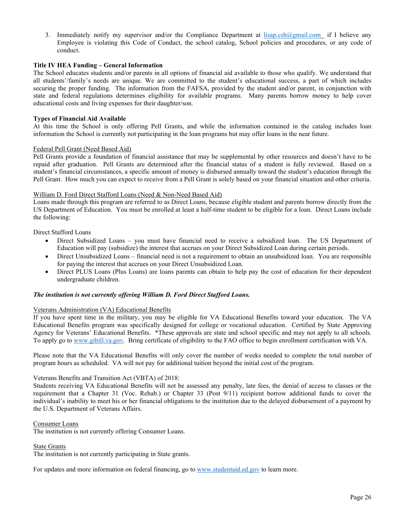3. Immediately notify my supervisor and/or the Compliance Department at [lisap.csb@gmail.com](mailto:lisap.csb@gmail.com) if I believe any Employee is violating this Code of Conduct, the school catalog, School policies and procedures, or any code of conduct.

## **Title IV HEA Funding – General Information**

The School educates students and/or parents in all options of financial aid available to those who qualify. We understand that all students'/family's needs are unique. We are committed to the student's educational success, a part of which includes securing the proper funding. The information from the FAFSA, provided by the student and/or parent, in conjunction with state and federal regulations determines eligibility for available programs. Many parents borrow money to help cover educational costs and living expenses for their daughter/son.

#### **Types of Financial Aid Available**

At this time the School is only offering Pell Grants, and while the information contained in the catalog includes loan information the School is currently not participating in the loan programs but may offer loans in the near future.

#### Federal Pell Grant (Need Based Aid)

Pell Grants provide a foundation of financial assistance that may be supplemental by other resources and doesn't have to be repaid after graduation. Pell Grants are determined after the financial status of a student is fully reviewed. Based on a student's financial circumstances, a specific amount of money is disbursed annually toward the student's education through the Pell Grant. How much you can expect to receive from a Pell Grant is solely based on your financial situation and other criteria.

#### William D. Ford Direct Stafford Loans (Need & Non-Need Based Aid)

Loans made through this program are referred to as Direct Loans, because eligible student and parents borrow directly from the US Department of Education. You must be enrolled at least a half-time student to be eligible for a loan. Direct Loans include the following:

Direct Stafford Loans

- Direct Subsidized Loans you must have financial need to receive a subsidized loan. The US Department of Education will pay (subsidize) the interest that accrues on your Direct Subsidized Loan during certain periods.
- Direct Unsubsidized Loans financial need is not a requirement to obtain an unsubsidized loan. You are responsible for paying the interest that accrues on your Direct Unsubsidized Loan.
- Direct PLUS Loans (Plus Loans) are loans parents can obtain to help pay the cost of education for their dependent undergraduate children.

## *The institution is not currently offering William D. Ford Direct Stafford Loans.*

#### Veterans Administration (VA) Educational Benefits

If you have spent time in the military, you may be eligible for VA Educational Benefits toward your education. The VA Educational Benefits program was specifically designed for college or vocational education. Certified by State Approving Agency for Veterans' Educational Benefits. \*These approvals are state and school specific and may not apply to all schools. To apply go t[o www.gibill.va.gov.](http://www.gibill.va.gov/) Bring certificate of eligibility to the FAO office to begin enrollment certification with VA.

Please note that the VA Educational Benefits will only cover the number of weeks needed to complete the total number of program hours as scheduled. VA will not pay for additional tuition beyond the initial cost of the program.

#### Veterans Benefits and Transition Act (VBTA) of 2018:

Students receiving VA Educational Benefits will not be assessed any penalty, late fees, the denial of access to classes or the requirement that a Chapter 31 (Voc. Rehab.) or Chapter 33 (Post 9/11) recipient borrow additional funds to cover the individual's inability to meet his or her financial obligations to the institution due to the delayed disbursement of a payment by the U.S. Department of Veterans Affairs.

#### Consumer Loans

The institution is not currently offering Consumer Loans.

#### State Grants

The institution is not currently participating in State grants.

For updates and more information on federal financing, go to [www.studentaid.ed.gov](http://www.studentaid.ed.gov/) to learn more.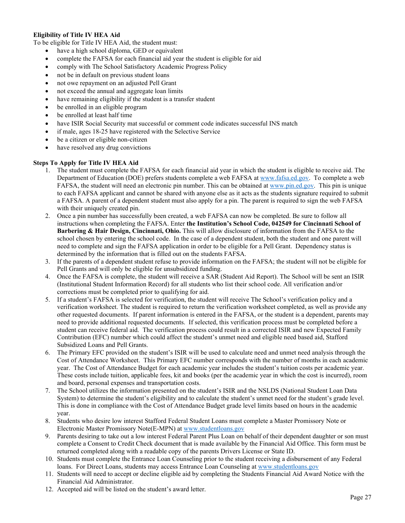## **Eligibility of Title IV HEA Aid**

To be eligible for Title IV HEA Aid, the student must:

- have a high school diploma, GED or equivalent
- complete the FAFSA for each financial aid year the student is eligible for aid
- comply with The School Satisfactory Academic Progress Policy
- not be in default on previous student loans
- not owe repayment on an adjusted Pell Grant
- not exceed the annual and aggregate loan limits
- have remaining eligibility if the student is a transfer student
- be enrolled in an eligible program
- be enrolled at least half time
- have ISIR Social Security mat successful or comment code indicates successful INS match
- if male, ages 18-25 have registered with the Selective Service
- be a citizen or eligible non-citizen
- have resolved any drug convictions

## **Steps To Apply for Title IV HEA Aid**

- 1. The student must complete the FAFSA for each financial aid year in which the student is eligible to receive aid. The Department of Education (DOE) prefers students complete a web FAFSA at [www.fafsa.ed.gov.](http://www.fafsa.ed.gov/) To complete a web FAFSA, the student will need an electronic pin number. This can be obtained at [www.pin.ed.gov.](http://www.pin.ed.gov/) This pin is unique to each FAFSA applicant and cannot be shared with anyone else as it acts as the students signature required to submit a FAFSA. A parent of a dependent student must also apply for a pin. The parent is required to sign the web FAFSA with their uniquely created pin.
- 2. Once a pin number has successfully been created, a web FAFSA can now be completed. Be sure to follow all instructions when completing the FAFSA. Enter **the Institution's School Code, 042549 for Cincinnati School of Barbering & Hair Design, Cincinnati, Ohio.** This will allow disclosure of information from the FAFSA to the school chosen by entering the school code. In the case of a dependent student, both the student and one parent will need to complete and sign the FAFSA application in order to be eligible for a Pell Grant. Dependency status is determined by the information that is filled out on the students FAFSA.
- 3. If the parents of a dependent student refuse to provide information on the FAFSA; the student will not be eligible for Pell Grants and will only be eligible for unsubsidized funding.
- 4. Once the FAFSA is complete, the student will receive a SAR (Student Aid Report). The School will be sent an ISIR (Institutional Student Information Record) for all students who list their school code. All verification and/or corrections must be completed prior to qualifying for aid.
- 5. If a student's FAFSA is selected for verification, the student will receive The School's verification policy and a verification worksheet. The student is required to return the verification worksheet completed, as well as provide any other requested documents. If parent information is entered in the FAFSA, or the student is a dependent, parents may need to provide additional requested documents. If selected, this verification process must be completed before a student can receive federal aid. The verification process could result in a corrected ISIR and new Expected Family Contribution (EFC) number which could affect the student's unmet need and eligible need based aid, Stafford Subsidized Loans and Pell Grants.
- 6. The Primary EFC provided on the student's ISIR will be used to calculate need and unmet need analysis through the Cost of Attendance Worksheet. This Primary EFC number corresponds with the number of months in each academic year. The Cost of Attendance Budget for each academic year includes the student's tuition costs per academic year. These costs include tuition, applicable fees, kit and books (per the academic year in which the cost is incurred), room and board, personal expenses and transportation costs.
- 7. The School utilizes the information presented on the student's ISIR and the NSLDS (National Student Loan Data System) to determine the student's eligibility and to calculate the student's unmet need for the student's grade level. This is done in compliance with the Cost of Attendance Budget grade level limits based on hours in the academic year.
- 8. Students who desire low interest Stafford Federal Student Loans must complete a Master Promissory Note or Electronic Master Promissory Note(E-MPN) a[t www.studentloans.gov](http://www.studentloans.gov/)
- 9. Parents desiring to take out a low interest Federal Parent Plus Loan on behalf of their dependent daughter or son must complete a Consent to Credit Check document that is made available by the Financial Aid Office. This form must be returned completed along with a readable copy of the parents Drivers License or State ID.
- 10. Students must complete the Entrance Loan Counseling prior to the student receiving a disbursement of any Federal loans. For Direct Loans, students may access Entrance Loan Counseling at [www.studentloans.gov](http://www.studentloans.gov/)
- 11. Students will need to accept or decline eligible aid by completing the Students Financial Aid Award Notice with the Financial Aid Administrator.
- 12. Accepted aid will be listed on the student's award letter.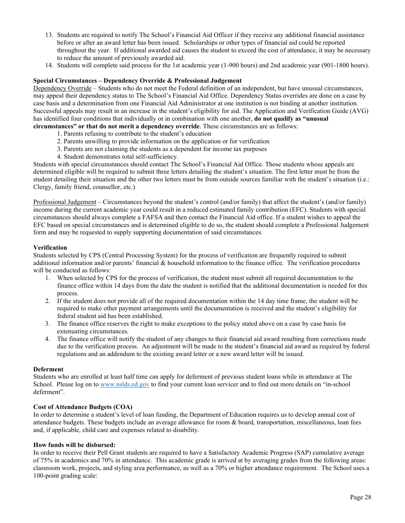- 13. Students are required to notify The School's Financial Aid Officer if they receive any additional financial assistance before or after an award letter has been issued. Scholarships or other types of financial aid could be reported throughout the year. If additional awarded aid causes the student to exceed the cost of attendance, it may be necessary to reduce the amount of previously awarded aid.
- 14. Students will complete said process for the 1st academic year (1-900 hours) and 2nd academic year (901-1800 hours).

## **Special Circumstances – Dependency Override & Professional Judgement**

Dependency Override – Students who do not meet the Federal definition of an independent, but have unusual circumstances, may appeal their dependency status to The School's Financial Aid Office. Dependency Status overrides are done on a case by case basis and a determination from one Financial Aid Administrator at one institution is not binding at another institution. Successful appeals may result in an increase in the student's eligibility for aid. The Application and Verification Guide (AVG) has identified four conditions that individually or in combination with one another, **do not qualify as "unusual circumstances" or that do not merit a dependency override**. These circumstances are as follows:

- 1. Parents refusing to contribute to the student's education
- 2. Parents unwilling to provide information on the application or for verification
- 3. Parents are not claiming the students as a dependent for income tax purposes
- 4. Student demonstrates total self-sufficiency.

Students with special circumstances should contact The School's Financial Aid Office. Those students whose appeals are determined eligible will be required to submit three letters detailing the student's situation. The first letter must be from the student detailing their situation and the other two letters must be from outside sources familiar with the student's situation (i.e.: Clergy, family friend, counsellor, etc.)

Professional Judgement – Circumstances beyond the student's control (and/or family) that affect the student's (and/or family) income during the current academic year could result in a reduced estimated family contribution (EFC). Students with special circumstances should always complete a FAFSA and then contact the Financial Aid office. If a student wishes to appeal the EFC based on special circumstances and is determined eligible to do so, the student should complete a Professional Judgement form and may be requested to supply supporting documentation of said circumstances.

#### **Verification**

Students selected by CPS (Central Processing System) for the process of verification are frequently required to submit additional information and/or parents' financial & household information to the finance office. The verification procedures will be conducted as follows:

- 1. When selected by CPS for the process of verification, the student must submit all required documentation to the finance office within 14 days from the date the student is notified that the additional documentation is needed for this process.
- 2. If the student does not provide all of the required documentation within the 14 day time frame, the student will be required to make other payment arrangements until the documentation is received and the student's eligibility for federal student aid has been established.
- 3. The finance office reserves the right to make exceptions to the policy stated above on a case by case basis for extenuating circumstances.
- 4. The finance office will notify the student of any changes to their financial aid award resulting from corrections made due to the verification process. An adjustment will be made to the student's financial aid award as required by federal regulations and an addendum to the existing award letter or a new award letter will be issued.

#### **Deferment**

Students who are enrolled at least half time can apply for deferment of previous student loans while in attendance at The School. Please log on to [www.nslds.ed.gov](http://www.nslds.ed.gov/) to find your current loan servicer and to find out more details on "in-school deferment".

#### **Cost of Attendance Budgets (COA)**

In order to determine a student's level of loan funding, the Department of Education requires us to develop annual cost of attendance budgets. These budgets include an average allowance for room & board, transportation, miscellaneous, loan fees and, if applicable, child care and expenses related to disability.

#### **How funds will be disbursed:**

In order to receive their Pell Grant students are required to have a Satisfactory Academic Progress (SAP) cumulative average of 75% in academics and 70% in attendance. This academic grade is arrived at by averaging grades from the following areas: classroom work, projects, and styling area performance, as well as a 70% or higher attendance requirement. The School uses a 100-point grading scale: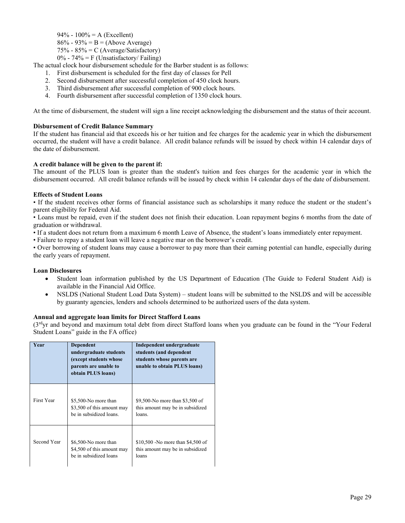$94\% - 100\% = A$  (Excellent)

 $86\% - 93\% = B = (Above Average)$ 

75% - 85% = C (Average/Satisfactory)

 $0\%$  - 74% = F (Unsatisfactory/ Failing)

The actual clock hour disbursement schedule for the Barber student is as follows:

- 1. First disbursement is scheduled for the first day of classes for Pell
- 2. Second disbursement after successful completion of 450 clock hours.
- 3. Third disbursement after successful completion of 900 clock hours.
- 4. Fourth disbursement after successful completion of 1350 clock hours.

At the time of disbursement, the student will sign a line receipt acknowledging the disbursement and the status of their account.

## **Disbursement of Credit Balance Summary**

If the student has financial aid that exceeds his or her tuition and fee charges for the academic year in which the disbursement occurred, the student will have a credit balance. All credit balance refunds will be issued by check within 14 calendar days of the date of disbursement.

## **A credit balance will be given to the parent if:**

The amount of the PLUS loan is greater than the student's tuition and fees charges for the academic year in which the disbursement occurred. All credit balance refunds will be issued by check within 14 calendar days of the date of disbursement.

## **Effects of Student Loans**

• If the student receives other forms of financial assistance such as scholarships it many reduce the student or the student's parent eligibility for Federal Aid.

• Loans must be repaid, even if the student does not finish their education. Loan repayment begins 6 months from the date of graduation or withdrawal.

• If a student does not return from a maximum 6 month Leave of Absence, the student's loans immediately enter repayment.

• Failure to repay a student loan will leave a negative mar on the borrower's credit.

• Over borrowing of student loans may cause a borrower to pay more than their earning potential can handle, especially during the early years of repayment.

## **Loan Disclosures**

- Student loan information published by the US Department of Education (The Guide to Federal Student Aid) is available in the Financial Aid Office.
- NSLDS (National Student Load Data System) student loans will be submitted to the NSLDS and will be accessible by guaranty agencies, lenders and schools determined to be authorized users of the data system.

## **Annual and aggregate loan limits for Direct Stafford Loans**

(3rdyr and beyond and maximum total debt from direct Stafford loans when you graduate can be found in the "Your Federal Student Loans" guide in the FA office)

| Year        | <b>Dependent</b><br>undergraduate students<br>(except students whose<br>parents are unable to<br>obtain PLUS loans) | Independent undergraduate<br>students (and dependent<br>students whose parents are<br>unable to obtain PLUS loans) |
|-------------|---------------------------------------------------------------------------------------------------------------------|--------------------------------------------------------------------------------------------------------------------|
| First Year  | \$5,500-No more than<br>\$3,500 of this amount may<br>be in subsidized loans.                                       | \$9,500-No more than \$3,500 of<br>this amount may be in subsidized<br>loans.                                      |
| Second Year | \$6,500-No more than<br>\$4,500 of this amount may<br>be in subsidized loans                                        | \$10,500 -No more than \$4,500 of<br>this amount may be in subsidized<br>loans                                     |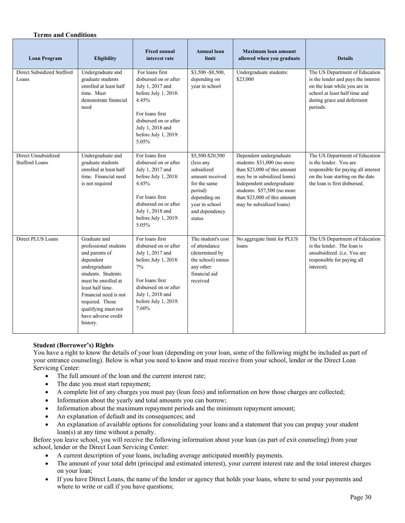## **Terms and Conditions**

| <b>Loan Program</b>                          | <b>Eligibility</b>                                                                                                                                                                                                                                           | <b>Fixed annual</b><br>interest rate                                                                                                                                                           | <b>Annual loan</b><br>limit                                                                                                                             | <b>Maximum loan amount</b><br>allowed when you graduate                                                                                                                                                                                       | <b>Details</b>                                                                                                                                                                   |
|----------------------------------------------|--------------------------------------------------------------------------------------------------------------------------------------------------------------------------------------------------------------------------------------------------------------|------------------------------------------------------------------------------------------------------------------------------------------------------------------------------------------------|---------------------------------------------------------------------------------------------------------------------------------------------------------|-----------------------------------------------------------------------------------------------------------------------------------------------------------------------------------------------------------------------------------------------|----------------------------------------------------------------------------------------------------------------------------------------------------------------------------------|
| Direct Subsidized Stafford<br>Loans          | Undergraduate and<br>graduate students<br>enrolled at least half<br>time. Must<br>demonstrate financial<br>need                                                                                                                                              | For loans first<br>disbursed on or after<br>July 1, 2017 and<br>before July 1, 2018:<br>4.45%<br>For loans first<br>disbursed on or after<br>July 1, 2018 and<br>before July 1, 2019:<br>5.05% | \$3,500 - \$8,500,<br>depending on<br>year in school                                                                                                    | Undergraduate students:<br>\$23,000                                                                                                                                                                                                           | The US Department of Education<br>is the lender and pays the interest<br>on the loan while you are in<br>school at least half time and<br>during grace and deferment<br>periods. |
| Direct Unsubsidized<br><b>Stafford Loans</b> | Undergraduate and<br>graduate students<br>enrolled at least half<br>time. Financial need<br>is not required                                                                                                                                                  | For loans first<br>disbursed on or after<br>July 1, 2017 and<br>before July 1, 2018:<br>4.45%<br>For loans first<br>disbursed on or after<br>July 1, 2018 and<br>before July 1, 2019:<br>5.05% | \$5,500-\$20,500<br>(less any<br>subsidized<br>amount received<br>for the same<br>period)<br>depending on<br>year in school<br>and dependency<br>status | Dependent undergraduate<br>students: \$31,000 (no more<br>than \$23,000 of this amount<br>may be in subsidized loans)<br>Independent undergraduate<br>students: \$57,500 (no more<br>than \$23,000 of this amount<br>may be subsidized loans) | The US Department of Education<br>is the lender. You are<br>responsible for paying all interest<br>on the loan starting on the date<br>the loan is first disbursed.              |
| Direct PLUS Loans                            | Graduate and<br>professional students<br>and parents of<br>dependent<br>undergraduate<br>students. Students<br>must be enrolled at<br>least half time.<br>Financial need is not<br>required. Those<br>qualifying must not<br>have adverse credit<br>history. | For loans first<br>disbursed on or after<br>July 1, 2017 and<br>before July 1, 2018:<br>7%<br>For loans first<br>disbursed on or after<br>July 1, 2018 and<br>before July 1, 2019:<br>7.60%    | The student's cost<br>of attendance<br>(determined by<br>the school) minus<br>any other<br>financial aid<br>received                                    | No aggregate limit for PLUS<br>loans                                                                                                                                                                                                          | The US Department of Education<br>is the lender. The loan is<br>unsubsidized. (i.e. You are<br>responsible for paying all<br>interest).                                          |

## **Student (Borrower's) Rights**

You have a right to know the details of your loan (depending on your loan, some of the following might be included as part of your entrance counseling). Below is what you need to know and must receive from your school, lender or the Direct Loan Servicing Center:

- The full amount of the loan and the current interest rate;
- The date you must start repayment;
- A complete list of any charges you must pay (loan fees) and information on how those charges are collected;
- Information about the yearly and total amounts you can borrow;
- Information about the maximum repayment periods and the minimum repayment amount;
- An explanation of default and its consequences; and
- An explanation of available options for consolidating your loans and a statement that you can prepay your student loan(s) at any time without a penalty.

Before you leave school, you will receive the following information about your loan (as part of exit counseling) from your school, lender or the Direct Loan Servicing Center:

- A current description of your loans, including average anticipated monthly payments.
- The amount of your total debt (principal and estimated interest), your current interest rate and the total interest charges on your loan;
- If you have Direct Loans, the name of the lender or agency that holds your loans, where to send your payments and where to write or call if you have questions;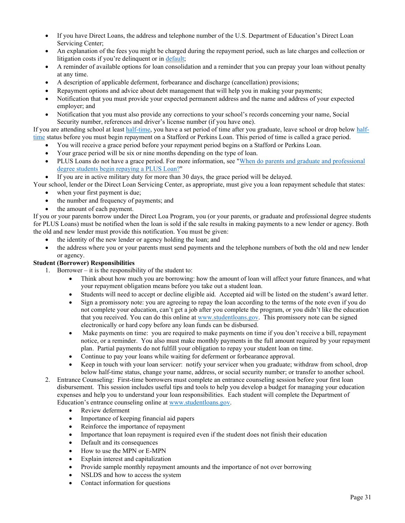- If you have Direct Loans, the address and telephone number of the U.S. Department of Education's Direct Loan Servicing Center;
- An explanation of the fees you might be charged during the repayment period, such as late charges and collection or litigation costs if you're delinquent or i[n default;](http://studentaid.ed.gov/students/publications/student_guide/2010-2011/english/importantterms.htm#default)
- A reminder of available options for loan consolidation and a reminder that you can prepay your loan without penalty at any time.
- A description of applicable deferment, forbearance and discharge (cancellation) provisions;
- Repayment options and advice about debt management that will help you in making your payments;
- Notification that you must provide your expected permanent address and the name and address of your expected employer; and
- Notification that you must also provide any corrections to your school's records concerning your name, Social Security number, references and driver's license number (if you have one).

If you are attending school at leas[t half-time,](http://studentaid.ed.gov/students/publications/student_guide/2010-2011/english/importantterms.htm#halftime) you have a set period of time after you graduate, leave school or drop below [half](http://studentaid.ed.gov/students/publications/student_guide/2010-2011/english/importantterms.htm#halftime)[time](http://studentaid.ed.gov/students/publications/student_guide/2010-2011/english/importantterms.htm#halftime) status before you must begin repayment on a Stafford or Perkins Loan. This period of time is called a grace period.

- You will receive a grace period before your repayment period begins on a Stafford or Perkins Loan.
- Your grace period will be six or nine months depending on the type of loan.
- PLUS Loans do not have a grace period. For more information, see ["When do parents and graduate and professional](http://studentaid.ed.gov/students/publications/student_guide/2010-2011/english/loanrepayment.htm#whenparentsbegin)  [degree students begin repaying a PLUS](http://studentaid.ed.gov/students/publications/student_guide/2010-2011/english/loanrepayment.htm#whenparentsbegin) Loan?"
- If you are in active military duty for more than 30 days, the grace period will be delayed.

Your school, lender or the Direct Loan Servicing Center, as appropriate, must give you a loan repayment schedule that states: • when your first payment is due;

- the number and frequency of payments; and
- the amount of each payment.

If you or your parents borrow under the Direct Loa Program, you (or your parents, or graduate and professional degree students for PLUS Loans) must be notified when the loan is sold if the sale results in making payments to a new lender or agency. Both the old and new lender must provide this notification. You must be given:

- the identity of the new lender or agency holding the loan; and
- the address where you or your parents must send payments and the telephone numbers of both the old and new lender or agency.

## **Student (Borrower) Responsibilities**

1. Borrower – it is the responsibility of the student to:

- Think about how much you are borrowing: how the amount of loan will affect your future finances, and what your repayment obligation means before you take out a student loan.
- Students will need to accept or decline eligible aid. Accepted aid will be listed on the student's award letter.
- Sign a promissory note: you are agreeing to repay the loan according to the terms of the note even if you do not complete your education, can't get a job after you complete the program, or you didn't like the education that you received. You can do this online at [www.studentloans.gov.](http://www.studentloans.gov/) This promissory note can be signed electronically or hard copy before any loan funds can be disbursed.
- Make payments on time: you are required to make payments on time if you don't receive a bill, repayment notice, or a reminder. You also must make monthly payments in the full amount required by your repayment plan. Partial payments do not fulfill your obligation to repay your student loan on time.
- Continue to pay your loans while waiting for deferment or forbearance approval.
- Keep in touch with your loan servicer: notify your servicer when you graduate; withdraw from school, drop below half-time status, change your name, address, or social security number; or transfer to another school.
- 2. Entrance Counseling: First-time borrowers must complete an entrance counseling session before your first loan disbursement. This session includes useful tips and tools to help you develop a budget for managing your education expenses and help you to understand your loan responsibilities. Each student will complete the Department of Education's entrance counseling online at [www.studentloans.gov.](http://www.studentloans.gov/)
	- Review deferment
	- Importance of keeping financial aid papers
	- Reinforce the importance of repayment
	- Importance that loan repayment is required even if the student does not finish their education
	- Default and its consequences
	- How to use the MPN or E-MPN
	- Explain interest and capitalization
	- Provide sample monthly repayment amounts and the importance of not over borrowing
	- NSLDS and how to access the system
	- Contact information for questions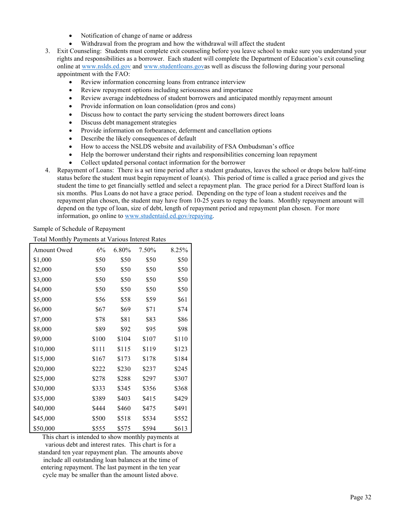- Notification of change of name or address
- Withdrawal from the program and how the withdrawal will affect the student
- 3. Exit Counseling: Students must complete exit counseling before you leave school to make sure you understand your rights and responsibilities as a borrower. Each student will complete the Department of Education's exit counseling online a[t www.nslds.ed.gov](http://www.nslds.ed.gov/) and [www.studentloans.gova](http://www.studentloans.gov/)s well as discuss the following during your personal appointment with the FAO:
	- Review information concerning loans from entrance interview
	- Review repayment options including seriousness and importance
	- Review average indebtedness of student borrowers and anticipated monthly repayment amount
	- Provide information on loan consolidation (pros and cons)
	- Discuss how to contact the party servicing the student borrowers direct loans
	- Discuss debt management strategies
	- Provide information on forbearance, deferment and cancellation options
	- Describe the likely consequences of default
	- How to access the NSLDS website and availability of FSA Ombudsman's office
	- Help the borrower understand their rights and responsibilities concerning loan repayment
	- Collect updated personal contact information for the borrower
- 4. Repayment of Loans: There is a set time period after a student graduates, leaves the school or drops below half-time status before the student must begin repayment of loan(s). This period of time is called a grace period and gives the student the time to get financially settled and select a repayment plan. The grace period for a Direct Stafford loan is six months. Plus Loans do not have a grace period. Depending on the type of loan a student receives and the repayment plan chosen, the student may have from 10-25 years to repay the loans. Monthly repayment amount will depend on the type of loan, size of debt, length of repayment period and repayment plan chosen. For more information, go online to [www.studentaid.ed.gov/repaying.](http://www.studentaid.ed.gov/repaying)

| Sample of Schedule of Repayment                  |       |       |       |       |  |  |  |
|--------------------------------------------------|-------|-------|-------|-------|--|--|--|
| Total Monthly Payments at Various Interest Rates |       |       |       |       |  |  |  |
| Amount Owed                                      | 6%    | 6.80% | 7.50% | 8.25% |  |  |  |
| \$1,000                                          | \$50  | \$50  | \$50  | \$50  |  |  |  |
| \$2,000                                          | \$50  | \$50  | \$50  | \$50  |  |  |  |
| \$3,000                                          | \$50  | \$50  | \$50  | \$50  |  |  |  |
| \$4,000                                          | \$50  | \$50  | \$50  | \$50  |  |  |  |
| \$5,000                                          | \$56  | \$58  | \$59  | \$61  |  |  |  |
| \$6,000                                          | \$67  | \$69  | \$71  | \$74  |  |  |  |
| \$7,000                                          | \$78  | \$81  | \$83  | \$86  |  |  |  |
| \$8,000                                          | \$89  | \$92  | \$95  | \$98  |  |  |  |
| \$9,000                                          | \$100 | \$104 | \$107 | \$110 |  |  |  |
| \$10,000                                         | \$111 | \$115 | \$119 | \$123 |  |  |  |
| \$15,000                                         | \$167 | \$173 | \$178 | \$184 |  |  |  |
| \$20,000                                         | \$222 | \$230 | \$237 | \$245 |  |  |  |
| \$25,000                                         | \$278 | \$288 | \$297 | \$307 |  |  |  |
| \$30,000                                         | \$333 | \$345 | \$356 | \$368 |  |  |  |
| \$35,000                                         | \$389 | \$403 | \$415 | \$429 |  |  |  |
| \$40,000                                         | \$444 | \$460 | \$475 | \$491 |  |  |  |
| \$45,000                                         | \$500 | \$518 | \$534 | \$552 |  |  |  |
| \$50,000                                         | \$555 | \$575 | \$594 | \$613 |  |  |  |

This chart is intended to show monthly payments at various debt and interest rates. This chart is for a standard ten year repayment plan. The amounts above include all outstanding loan balances at the time of entering repayment. The last payment in the ten year cycle may be smaller than the amount listed above.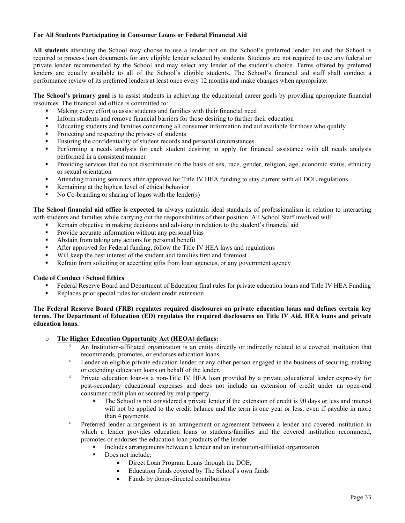## **For All Students Participating in Consumer Loans or Federal Financial Aid**

**All students** attending the School may choose to use a lender not on the School's preferred lender list and the School is required to process loan documents for any eligible lender selected by students. Students are not required to use any federal or private lender recommended by the School and may select any lender of the student's choice. Terms offered by preferred lenders are equally available to all of the School's eligible students. The School's financial aid staff shall conduct a performance review of its preferred lenders at least once every 12 months and make changes when appropriate.

**The School's primary goal** is to assist students in achieving the educational career goals by providing appropriate financial resources. The financial aid office is committed to:

- Making every effort to assist students and families with their financial need
- Inform students and remove financial barriers for those desiring to further their education
- Educating students and families concerning all consumer information and aid available for those who qualify
- Protecting and respecting the privacy of students
- Ensuring the confidentiality of student records and personal circumstances
- Performing a needs analysis for each student desiring to apply for financial assistance with all needs analysis performed in a consistent manner
- Providing services that do not discriminate on the basis of sex, race, gender, religion, age, economic status, ethnicity or sexual orientation
- Attending training seminars after approved for Title IV HEA funding to stay current with all DOE regulations
- Remaining at the highest level of ethical behavior
- No Co-branding or sharing of logos with the lender(s)

**The School financial aid office is expected to** always maintain ideal standards of professionalism in relation to interacting with students and families while carrying out the responsibilities of their position. All School Staff involved will:

- Remain objective in making decisions and advising in relation to the student's financial aid
- Provide accurate information without any personal bias
- Abstain from taking any actions for personal benefit
- After approved for Federal funding, follow the Title IV HEA laws and regulations
- Will keep the best interest of the student and families first and foremost
- Refrain from soliciting or accepting gifts from loan agencies, or any government agency

## **Code of Conduct / School Ethics**

- Federal Reserve Board and Department of Education final rules for private education loans and Title IV HEA Funding
- Replaces prior special rules for student credit extension

**The Federal Reserve Board (FRB) regulates required disclosures on private education loans and defines certain key terms. The Department of Education (ED) regulates the required disclosures on Title IV Aid, HEA loans and private education loans.**

- o **The Higher Education Opportunity Act (HEOA) defines:**
	- ° An Institution-affiliated organization is an entity directly or indirectly related to a covered institution that recommends, promotes, or endorses education loans.
	- ° Lender-an eligible private education lender or any other person engaged in the business of securing, making or extending education loans on behalf of the lender.
	- ° Private education loan-is a non-Title IV HEA loan provided by a private educational lender expressly for post-secondary educational expenses and does not include an extension of credit under an open-end consumer credit plan or secured by real property.
		- The School is not considered a private lender if the extension of credit is 90 days or less and interest will not be applied to the credit balance and the term is one year or less, even if payable in more than 4 payments.
	- ° Preferred lender arrangement is an arrangement or agreement between a lender and covered institution in which a lender provides education loans to students/families and the covered institution recommend, promotes or endorses the education loan products of the lender.
		- **Includes arrangements between a lender and an institution-affiliated organization**
		- Does not include:
			- Direct Loan Program Loans through the DOE,
			- Education funds covered by The School's own funds
			- Funds by donor-directed contributions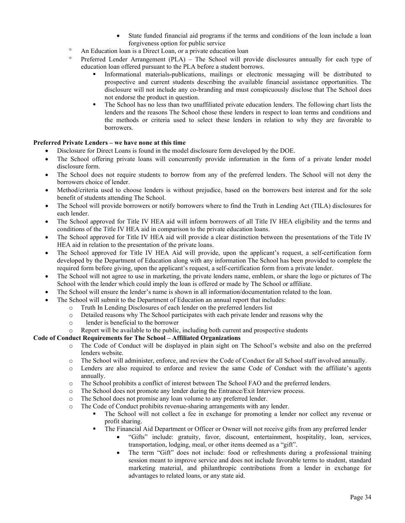- State funded financial aid programs if the terms and conditions of the loan include a loan forgiveness option for public service
- An Education loan is a Direct Loan, or a private education loan
- ° Preferred Lender Arrangement (PLA) The School will provide disclosures annually for each type of education loan offered pursuant to the PLA before a student borrows.
	- Informational materials-publications, mailings or electronic messaging will be distributed to prospective and current students describing the available financial assistance opportunities. The disclosure will not include any co-branding and must conspicuously disclose that The School does not endorse the product in question.
	- The School has no less than two unaffiliated private education lenders. The following chart lists the lenders and the reasons The School chose these lenders in respect to loan terms and conditions and the methods or criteria used to select these lenders in relation to why they are favorable to borrowers.

## **Preferred Private Lenders – we have none at this time**

- Disclosure for Direct Loans is found in the model disclosure form developed by the DOE.
- The School offering private loans will concurrently provide information in the form of a private lender model disclosure form.
- The School does not require students to borrow from any of the preferred lenders. The School will not deny the borrowers choice of lender.
- Method/criteria used to choose lenders is without prejudice, based on the borrowers best interest and for the sole benefit of students attending The School.
- The School will provide borrowers or notify borrowers where to find the Truth in Lending Act (TILA) disclosures for each lender.
- The School approved for Title IV HEA aid will inform borrowers of all Title IV HEA eligibility and the terms and conditions of the Title IV HEA aid in comparison to the private education loans.
- The School approved for Title IV HEA aid will provide a clear distinction between the presentations of the Title IV HEA aid in relation to the presentation of the private loans.
- The School approved for Title IV HEA Aid will provide, upon the applicant's request, a self-certification form developed by the Department of Education along with any information The School has been provided to complete the required form before giving, upon the applicant's request, a self-certification form from a private lender.
- The School will not agree to use in marketing, the private lenders name, emblem, or share the logo or pictures of The School with the lender which could imply the loan is offered or made by The School or affiliate.
- The School will ensure the lender's name is shown in all information/documentation related to the loan.
- The School will submit to the Department of Education an annual report that includes:
	- $\circ$  Truth In Lending Disclosures of each lender on the preferred lenders list  $\circ$  Detailed reasons why The School participates with each private lender and
	- $\circ$  Detailed reasons why The School participates with each private lender and reasons why the lender is beneficial to the borrower
	- $\circ$  lender is beneficial to the borrower<br>  $\circ$  Report will be available to the public
	- Report will be available to the public, including both current and prospective students

## **Code of Conduct Requirements for The School – Affiliated Organizations**

- o The Code of Conduct will be displayed in plain sight on The School's website and also on the preferred lenders website.
- o The School will administer, enforce, and review the Code of Conduct for all School staff involved annually.
- o Lenders are also required to enforce and review the same Code of Conduct with the affiliate's agents annually.
- o The School prohibits a conflict of interest between The School FAO and the preferred lenders.
- o The School does not promote any lender during the Entrance/Exit Interview process.
- o The School does not promise any loan volume to any preferred lender.
- o The Code of Conduct prohibits revenue-sharing arrangements with any lender.
	- The School will not collect a fee in exchange for promoting a lender nor collect any revenue or profit sharing.
	- The Financial Aid Department or Officer or Owner will not receive gifts from any preferred lender
		- "Gifts" include: gratuity, favor, discount, entertainment, hospitality, loan, services, transportation, lodging, meal, or other items deemed as a "gift".
		- The term "Gift" does not include: food or refreshments during a professional training session meant to improve service and does not include favorable terms to student, standard marketing material, and philanthropic contributions from a lender in exchange for advantages to related loans, or any state aid.